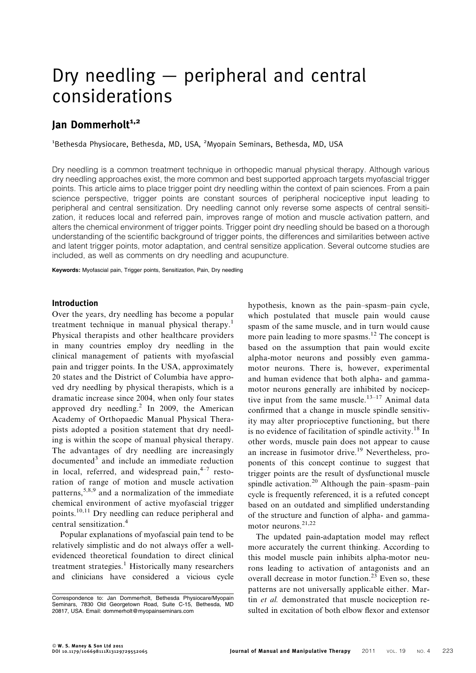# Dry needling — peripheral and central considerations

# Jan Dommerholt<sup>1,2</sup>

<sup>1</sup>Bethesda Physiocare, Bethesda, MD, USA, <sup>2</sup>Myopain Seminars, Bethesda, MD, USA

Dry needling is a common treatment technique in orthopedic manual physical therapy. Although various dry needling approaches exist, the more common and best supported approach targets myofascial trigger points. This article aims to place trigger point dry needling within the context of pain sciences. From a pain science perspective, trigger points are constant sources of peripheral nociceptive input leading to peripheral and central sensitization. Dry needling cannot only reverse some aspects of central sensitization, it reduces local and referred pain, improves range of motion and muscle activation pattern, and alters the chemical environment of trigger points. Trigger point dry needling should be based on a thorough understanding of the scientific background of trigger points, the differences and similarities between active and latent trigger points, motor adaptation, and central sensitize application. Several outcome studies are included, as well as comments on dry needling and acupuncture.

Keywords: Myofascial pain, Trigger points, Sensitization, Pain, Dry needling

### Introduction

Over the years, dry needling has become a popular treatment technique in manual physical therapy.<sup>1</sup> Physical therapists and other healthcare providers in many countries employ dry needling in the clinical management of patients with myofascial pain and trigger points. In the USA, approximately 20 states and the District of Columbia have approved dry needling by physical therapists, which is a dramatic increase since 2004, when only four states approved dry needling.<sup>2</sup> In 2009, the American Academy of Orthopaedic Manual Physical Therapists adopted a position statement that dry needling is within the scope of manual physical therapy. The advantages of dry needling are increasingly  $documented<sup>3</sup>$  and include an immediate reduction in local, referred, and widespread pain, $4-7$  restoration of range of motion and muscle activation patterns,  $5,8,9$  and a normalization of the immediate chemical environment of active myofascial trigger points.10,11 Dry needling can reduce peripheral and central sensitization.<sup>4</sup>

Popular explanations of myofascial pain tend to be relatively simplistic and do not always offer a wellevidenced theoretical foundation to direct clinical treatment strategies.<sup>1</sup> Historically many researchers and clinicians have considered a vicious cycle

hypothesis, known as the pain–spasm–pain cycle, which postulated that muscle pain would cause spasm of the same muscle, and in turn would cause more pain leading to more spasms.<sup>12</sup> The concept is based on the assumption that pain would excite alpha-motor neurons and possibly even gammamotor neurons. There is, however, experimental and human evidence that both alpha- and gammamotor neurons generally are inhibited by nociceptive input from the same muscle.<sup>13–17</sup> Animal data confirmed that a change in muscle spindle sensitivity may alter proprioceptive functioning, but there is no evidence of facilitation of spindle activity.<sup>18</sup> In other words, muscle pain does not appear to cause an increase in fusimotor drive.<sup>19</sup> Nevertheless, proponents of this concept continue to suggest that trigger points are the result of dysfunctional muscle spindle activation.<sup>20</sup> Although the pain–spasm–pain cycle is frequently referenced, it is a refuted concept based on an outdated and simplified understanding of the structure and function of alpha- and gammamotor neurons.21,22

The updated pain-adaptation model may reflect more accurately the current thinking. According to this model muscle pain inhibits alpha-motor neurons leading to activation of antagonists and an overall decrease in motor function.<sup>23</sup> Even so, these patterns are not universally applicable either. Martin *et al.* demonstrated that muscle nociception resulted in excitation of both elbow flexor and extensor

Correspondence to: Jan Dommerholt, Bethesda Physiocare/Myopain Seminars, 7830 Old Georgetown Road, Suite C-15, Bethesda, MD 20817, USA. Email: dommerholt@myopainseminars.com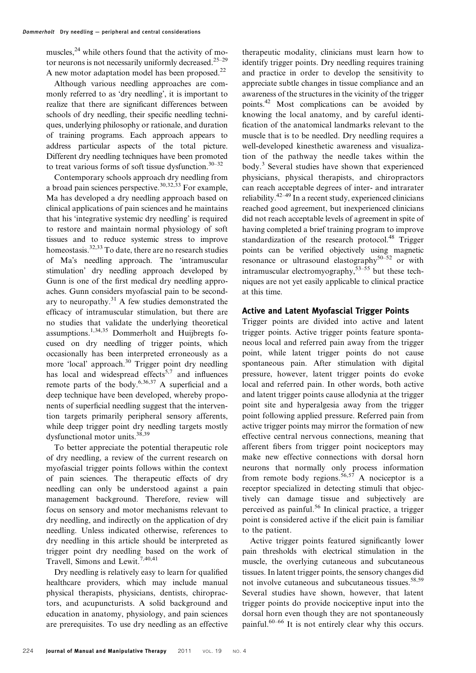muscles, $^{24}$  while others found that the activity of motor neurons is not necessarily uniformly decreased.<sup>25–29</sup> A new motor adaptation model has been proposed. $^{22}$ 

Although various needling approaches are commonly referred to as 'dry needling', it is important to realize that there are significant differences between schools of dry needling, their specific needling techniques, underlying philosophy or rationale, and duration of training programs. Each approach appears to address particular aspects of the total picture. Different dry needling techniques have been promoted to treat various forms of soft tissue dysfunction. $30-32$ 

Contemporary schools approach dry needling from a broad pain sciences perspective.<sup>30,32,33</sup> For example, Ma has developed a dry needling approach based on clinical applications of pain sciences and he maintains that his 'integrative systemic dry needling' is required to restore and maintain normal physiology of soft tissues and to reduce systemic stress to improve homeostasis.<sup>32,33</sup> To date, there are no research studies of Ma's needling approach. The 'intramuscular stimulation' dry needling approach developed by Gunn is one of the first medical dry needling approaches. Gunn considers myofascial pain to be secondary to neuropathy.31 A few studies demonstrated the efficacy of intramuscular stimulation, but there are no studies that validate the underlying theoretical assumptions.1,34,35 Dommerholt and Huijbregts focused on dry needling of trigger points, which occasionally has been interpreted erroneously as a more 'local' approach.<sup>30</sup> Trigger point dry needling has local and widespread effects<sup>5,7</sup> and influences remote parts of the body.6,36,37 A superficial and a deep technique have been developed, whereby proponents of superficial needling suggest that the intervention targets primarily peripheral sensory afferents, while deep trigger point dry needling targets mostly dysfunctional motor units.38,39

To better appreciate the potential therapeutic role of dry needling, a review of the current research on myofascial trigger points follows within the context of pain sciences. The therapeutic effects of dry needling can only be understood against a pain management background. Therefore, review will focus on sensory and motor mechanisms relevant to dry needling, and indirectly on the application of dry needling. Unless indicated otherwise, references to dry needling in this article should be interpreted as trigger point dry needling based on the work of Travell, Simons and Lewit.<sup>7,40,41</sup>

Dry needling is relatively easy to learn for qualified healthcare providers, which may include manual physical therapists, physicians, dentists, chiropractors, and acupuncturists. A solid background and education in anatomy, physiology, and pain sciences are prerequisites. To use dry needling as an effective

therapeutic modality, clinicians must learn how to identify trigger points. Dry needling requires training and practice in order to develop the sensitivity to appreciate subtle changes in tissue compliance and an awareness of the structures in the vicinity of the trigger points.42 Most complications can be avoided by knowing the local anatomy, and by careful identification of the anatomical landmarks relevant to the muscle that is to be needled. Dry needling requires a well-developed kinesthetic awareness and visualization of the pathway the needle takes within the body.<sup>3</sup> Several studies have shown that experienced physicians, physical therapists, and chiropractors can reach acceptable degrees of inter- and intrarater reliability. $42-49$  In a recent study, experienced clinicians reached good agreement, but inexperienced clinicians did not reach acceptable levels of agreement in spite of having completed a brief training program to improve standardization of the research protocol.<sup>48</sup> Trigger points can be verified objectively using magnetic resonance or ultrasound elastography<sup>50–52</sup> or with intramuscular electromyography,  $53-55$  but these techniques are not yet easily applicable to clinical practice at this time.

### Active and Latent Myofascial Trigger Points

Trigger points are divided into active and latent trigger points. Active trigger points feature spontaneous local and referred pain away from the trigger point, while latent trigger points do not cause spontaneous pain. After stimulation with digital pressure, however, latent trigger points do evoke local and referred pain. In other words, both active and latent trigger points cause allodynia at the trigger point site and hyperalgesia away from the trigger point following applied pressure. Referred pain from active trigger points may mirror the formation of new effective central nervous connections, meaning that afferent fibers from trigger point nociceptors may make new effective connections with dorsal horn neurons that normally only process information from remote body regions.<sup>56,57</sup> A nociceptor is a receptor specialized in detecting stimuli that objectively can damage tissue and subjectively are perceived as painful.<sup>56</sup> In clinical practice, a trigger point is considered active if the elicit pain is familiar to the patient.

Active trigger points featured significantly lower pain thresholds with electrical stimulation in the muscle, the overlying cutaneous and subcutaneous tissues. In latent trigger points, the sensory changes did not involve cutaneous and subcutaneous tissues.<sup>58,59</sup> Several studies have shown, however, that latent trigger points do provide nociceptive input into the dorsal horn even though they are not spontaneously painful.<sup>60–66</sup> It is not entirely clear why this occurs.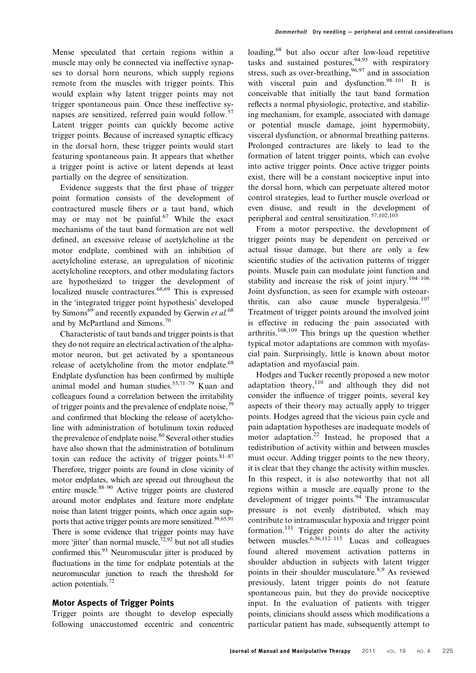Mense speculated that certain regions within a muscle may only be connected via ineffective synapses to dorsal horn neurons, which supply regions remote from the muscles with trigger points. This would explain why latent trigger points may not trigger spontaneous pain. Once these ineffective synapses are sensitized, referred pain would follow.<sup>57</sup> Latent trigger points can quickly become active trigger points. Because of increased synaptic efficacy in the dorsal horn, these trigger points would start featuring spontaneous pain. It appears that whether a trigger point is active or latent depends at least partially on the degree of sensitization.

Evidence suggests that the first phase of trigger point formation consists of the development of contractured muscle fibers or a taut band, which may or may not be painful.<sup>67</sup> While the exact mechanisms of the taut band formation are not well defined, an excessive release of acetylcholine at the motor endplate, combined with an inhibition of acetylcholine esterase, an upregulation of nicotinic acetylcholine receptors, and other modulating factors are hypothesized to trigger the development of localized muscle contractures.<sup>68,69</sup> This is expressed in the 'integrated trigger point hypothesis' developed by Simons<sup>69</sup> and recently expanded by Gerwin et al.<sup>68</sup> and by McPartland and Simons.<sup>70</sup>

Characteristic of taut bands and trigger points is that they do not require an electrical activation of the alphamotor neuron, but get activated by a spontaneous release of acetylcholine from the motor endplate.<sup>68</sup> Endplate dysfunction has been confirmed by multiple animal model and human studies.55,71–79 Kuan and colleagues found a correlation between the irritability of trigger points and the prevalence of endplate noise, <sup>39</sup> and confirmed that blocking the release of acetylcholine with administration of botulinum toxin reduced the prevalence of endplate noise.<sup>80</sup> Several other studies have also shown that the administration of botulinum toxin can reduce the activity of trigger points.  $81-87$ Therefore, trigger points are found in close vicinity of motor endplates, which are spread out throughout the entire muscle.<sup>88–90</sup> Active trigger points are clustered around motor endplates and feature more endplate noise than latent trigger points, which once again supports that active trigger points are more sensitized.<sup>39,65,91</sup> There is some evidence that trigger points may have more 'iitter' than normal muscle,  $72,92$  but not all studies confirmed this. $93$  Neuromuscular jitter is produced by fluctuations in the time for endplate potentials at the neuromuscular junction to reach the threshold for action potentials.72

#### Motor Aspects of Trigger Points

Trigger points are thought to develop especially following unaccustomed eccentric and concentric loading,<sup>68</sup> but also occur after low-load repetitive tasks and sustained postures,  $94,95$  with respiratory stress, such as over-breathing,  $96,97$  and in association with visceral pain and dysfunction.<sup>98-101</sup> It is conceivable that initially the taut band formation reflects a normal physiologic, protective, and stabilizing mechanism, for example, associated with damage or potential muscle damage, joint hypermobiity, visceral dysfunction, or abnormal breathing patterns. Prolonged contractures are likely to lead to the formation of latent trigger points, which can evolve into active trigger points. Once active trigger points exist, there will be a constant nociceptive input into the dorsal horn, which can perpetuate altered motor control strategies, lead to further muscle overload or even disuse, and result in the development of peripheral and central sensitization.<sup>57,102,103</sup>

From a motor perspective, the development of trigger points may be dependent on perceived or actual tissue damage, but there are only a few scientific studies of the activation patterns of trigger points. Muscle pain can modulate joint function and stability and increase the risk of joint injury.<sup>104–106</sup> Joint dysfunction, as seen for example with osteoarthritis, can also cause muscle hyperalgesia.<sup>107</sup> Treatment of trigger points around the involved joint is effective in reducing the pain associated with arthritis.<sup>108,109</sup> This brings up the question whether typical motor adaptations are common with myofascial pain. Surprisingly, little is known about motor adaptation and myofascial pain.

Hodges and Tucker recently proposed a new motor adaptation theory, $110$  and although they did not consider the influence of trigger points, several key aspects of their theory may actually apply to trigger points. Hodges agreed that the vicious pain cycle and pain adaptation hypotheses are inadequate models of motor adaptation.<sup>22</sup> Instead, he proposed that a redistribution of activity within and between muscles must occur. Adding trigger points to the new theory, it is clear that they change the activity within muscles. In this respect, it is also noteworthy that not all regions within a muscle are equally prone to the development of trigger points.  $94$  The intramuscular pressure is not evenly distributed, which may contribute to intramuscular hypoxia and trigger point formation.<sup>111</sup> Trigger points do alter the activity between muscles.  $6,36,112-115$  Lucas and colleagues found altered movement activation patterns in shoulder abduction in subjects with latent trigger points in their shoulder musculature.<sup>8,9</sup> As reviewed previously, latent trigger points do not feature spontaneous pain, but they do provide nociceptive input. In the evaluation of patients with trigger points, clinicians should assess which modifications a particular patient has made, subsequently attempt to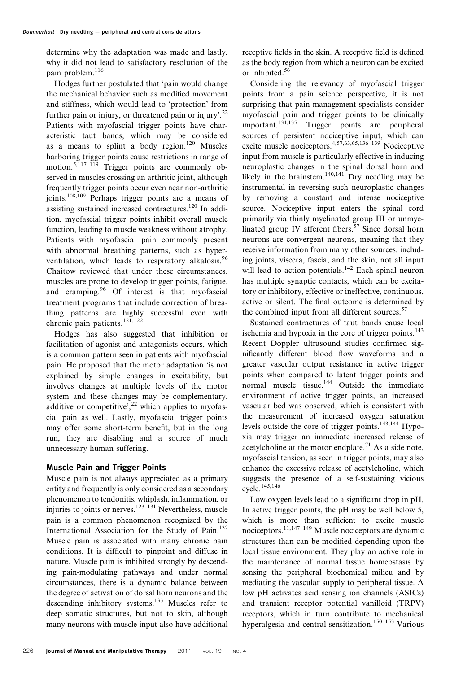determine why the adaptation was made and lastly, why it did not lead to satisfactory resolution of the pain problem.<sup>116</sup>

Hodges further postulated that 'pain would change the mechanical behavior such as modified movement and stiffness, which would lead to 'protection' from further pain or injury, or threatened pain or injury'.<sup>22</sup> Patients with myofascial trigger points have characteristic taut bands, which may be considered as a means to splint a body region.<sup>120</sup> Muscles harboring trigger points cause restrictions in range of motion.<sup>5,117–119</sup> Trigger points are commonly observed in muscles crossing an arthritic joint, although frequently trigger points occur even near non-arthritic joints.108,109 Perhaps trigger points are a means of assisting sustained increased contractures.120 In addition, myofascial trigger points inhibit overall muscle function, leading to muscle weakness without atrophy. Patients with myofascial pain commonly present with abnormal breathing patterns, such as hyperventilation, which leads to respiratory alkalosis.<sup>96</sup> Chaitow reviewed that under these circumstances, muscles are prone to develop trigger points, fatigue, and cramping.<sup>96</sup> Of interest is that myofascial treatment programs that include correction of breathing patterns are highly successful even with chronic pain patients.<sup>121,122</sup>

Hodges has also suggested that inhibition or facilitation of agonist and antagonists occurs, which is a common pattern seen in patients with myofascial pain. He proposed that the motor adaptation 'is not explained by simple changes in excitability, but involves changes at multiple levels of the motor system and these changes may be complementary, additive or competitive',  $^{22}$  which applies to myofascial pain as well. Lastly, myofascial trigger points may offer some short-term benefit, but in the long run, they are disabling and a source of much unnecessary human suffering.

## Muscle Pain and Trigger Points

Muscle pain is not always appreciated as a primary entity and frequently is only considered as a secondary phenomenon to tendonitis, whiplash, inflammation, or injuries to joints or nerves.<sup>123–131</sup> Nevertheless, muscle pain is a common phenomenon recognized by the International Association for the Study of Pain.<sup>132</sup> Muscle pain is associated with many chronic pain conditions. It is difficult to pinpoint and diffuse in nature. Muscle pain is inhibited strongly by descending pain-modulating pathways and under normal circumstances, there is a dynamic balance between the degree of activation of dorsal horn neurons and the descending inhibitory systems.<sup>133</sup> Muscles refer to deep somatic structures, but not to skin, although many neurons with muscle input also have additional receptive fields in the skin. A receptive field is defined as the body region from which a neuron can be excited or inhibited.56

Considering the relevancy of myofascial trigger points from a pain science perspective, it is not surprising that pain management specialists consider myofascial pain and trigger points to be clinically<br>important.<sup>134,135</sup> Trigger points are peripheral Trigger points are peripheral sources of persistent nociceptive input, which can excite muscle nociceptors.4,57,63,65,136–139 Nociceptive input from muscle is particularly effective in inducing neuroplastic changes in the spinal dorsal horn and likely in the brainstem.<sup>140,141</sup> Dry needling may be instrumental in reversing such neuroplastic changes by removing a constant and intense nociceptive source. Nociceptive input enters the spinal cord primarily via thinly myelinated group III or unmyelinated group IV afferent fibers.<sup>57</sup> Since dorsal horn neurons are convergent neurons, meaning that they receive information from many other sources, including joints, viscera, fascia, and the skin, not all input will lead to action potentials. $142$  Each spinal neuron has multiple synaptic contacts, which can be excitatory or inhibitory, effective or ineffective, continuous, active or silent. The final outcome is determined by the combined input from all different sources.<sup>57</sup>

Sustained contractures of taut bands cause local ischemia and hypoxia in the core of trigger points. $143$ Recent Doppler ultrasound studies confirmed significantly different blood flow waveforms and a greater vascular output resistance in active trigger points when compared to latent trigger points and normal muscle tissue.<sup>144</sup> Outside the immediate environment of active trigger points, an increased vascular bed was observed, which is consistent with the measurement of increased oxygen saturation levels outside the core of trigger points.<sup>143,144</sup> Hypoxia may trigger an immediate increased release of acetylcholine at the motor endplate.<sup>71</sup> As a side note, myofascial tension, as seen in trigger points, may also enhance the excessive release of acetylcholine, which suggests the presence of a self-sustaining vicious cycle.145,146

Low oxygen levels lead to a significant drop in pH. In active trigger points, the pH may be well below 5, which is more than sufficient to excite muscle nociceptors.11,147–149 Muscle nociceptors are dynamic structures than can be modified depending upon the local tissue environment. They play an active role in the maintenance of normal tissue homeostasis by sensing the peripheral biochemical milieu and by mediating the vascular supply to peripheral tissue. A low pH activates acid sensing ion channels (ASICs) and transient receptor potential vanilloid (TRPV) receptors, which in turn contribute to mechanical hyperalgesia and central sensitization.<sup>150–153</sup> Various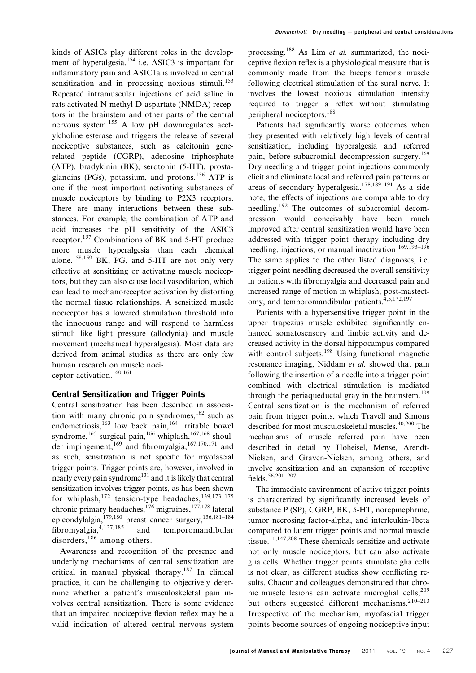kinds of ASICs play different roles in the development of hyperalgesia,<sup>154</sup> i.e. ASIC3 is important for inflammatory pain and ASIC1a is involved in central sensitization and in processing noxious stimuli.<sup>153</sup> Repeated intramuscular injections of acid saline in rats activated N-methyl-D-aspartate (NMDA) receptors in the brainstem and other parts of the central nervous system.<sup>155</sup> A low pH downregulates acetylcholine esterase and triggers the release of several nociceptive substances, such as calcitonin generelated peptide (CGRP), adenosine triphosphate (ATP), bradykinin (BK), serotonin (5-HT), prostaglandins (PGs), potassium, and protons.<sup>156</sup> ATP is one if the most important activating substances of muscle nociceptors by binding to P2X3 receptors. There are many interactions between these substances. For example, the combination of ATP and acid increases the pH sensitivity of the ASIC3 receptor.<sup>157</sup> Combinations of BK and 5-HT produce more muscle hyperalgesia than each chemical alone.<sup>158,159</sup> BK, PG, and 5-HT are not only very effective at sensitizing or activating muscle nociceptors, but they can also cause local vasodilation, which can lead to mechanoreceptor activation by distorting the normal tissue relationships. A sensitized muscle nociceptor has a lowered stimulation threshold into the innocuous range and will respond to harmless stimuli like light pressure (allodynia) and muscle movement (mechanical hyperalgesia). Most data are derived from animal studies as there are only few human research on muscle nociceptor activation.160,161

# Central Sensitization and Trigger Points

Central sensitization has been described in association with many chronic pain syndromes,<sup>162</sup> such as endometriosis,<sup>163</sup> low back pain,<sup>164</sup> irritable bowel syndrome,<sup>165</sup> surgical pain,<sup>166</sup> whiplash,<sup>167,168</sup> shoulder impingement, $169$  and fibromyalgia, $167,170,171$  and as such, sensitization is not specific for myofascial trigger points. Trigger points are, however, involved in nearly every pain syndrome<sup>131</sup> and it is likely that central sensitization involves trigger points, as has been shown for whiplash,<sup>172</sup> tension-type headaches,<sup>139,173–175</sup> chronic primary headaches,  $^{176}$  migraines,  $^{177,178}$  lateral epicondylalgia,179,180 breast cancer surgery,136,181–184 fibromyalgia,4,137,185 and temporomandibular disorders,<sup>186</sup> among others.

Awareness and recognition of the presence and underlying mechanisms of central sensitization are critical in manual physical therapy.<sup>187</sup> In clinical practice, it can be challenging to objectively determine whether a patient's musculoskeletal pain involves central sensitization. There is some evidence that an impaired nociceptive flexion reflex may be a valid indication of altered central nervous system

processing.<sup>188</sup> As Lim *et al.* summarized, the nociceptive flexion reflex is a physiological measure that is commonly made from the biceps femoris muscle following electrical stimulation of the sural nerve. It involves the lowest noxious stimulation intensity required to trigger a reflex without stimulating peripheral nociceptors.<sup>188</sup>

Patients had significantly worse outcomes when they presented with relatively high levels of central sensitization, including hyperalgesia and referred pain, before subacromial decompression surgery.<sup>169</sup> Dry needling and trigger point injections commonly elicit and eliminate local and referred pain patterns or areas of secondary hyperalgesia.<sup>178,189–191</sup> As a side note, the effects of injections are comparable to dry needling.<sup>192</sup> The outcomes of subacromial decompression would conceivably have been much improved after central sensitization would have been addressed with trigger point therapy including dry needling, injections, or manual inactivation.<sup>169,193-196</sup> The same applies to the other listed diagnoses, i.e. trigger point needling decreased the overall sensitivity in patients with fibromyalgia and decreased pain and increased range of motion in whiplash, post-mastectomy, and temporomandibular patients.<sup>4,5,172,197</sup>

Patients with a hypersensitive trigger point in the upper trapezius muscle exhibited significantly enhanced somatosensory and limbic activity and decreased activity in the dorsal hippocampus compared with control subjects.<sup>198</sup> Using functional magnetic resonance imaging, Niddam et al. showed that pain following the insertion of a needle into a trigger point combined with electrical stimulation is mediated through the periaqueductal gray in the brainstem.<sup>199</sup> Central sensitization is the mechanism of referred pain from trigger points, which Travell and Simons described for most musculoskeletal muscles.<sup>40,200</sup> The mechanisms of muscle referred pain have been described in detail by Hoheisel, Mense, Arendt-Nielsen, and Graven-Nielsen, among others, and involve sensitization and an expansion of receptive fields.56,201–207

The immediate environment of active trigger points is characterized by significantly increased levels of substance P (SP), CGRP, BK, 5-HT, norepinephrine, tumor necrosing factor-alpha, and interleukin-1beta compared to latent trigger points and normal muscle tissue.11,147,208 These chemicals sensitize and activate not only muscle nociceptors, but can also activate glia cells. Whether trigger points stimulate glia cells is not clear, as different studies show conflicting results. Chacur and colleagues demonstrated that chronic muscle lesions can activate microglial cells,<sup>209</sup> but others suggested different mechanisms.<sup>210–213</sup> Irrespective of the mechanism, myofascial trigger points become sources of ongoing nociceptive input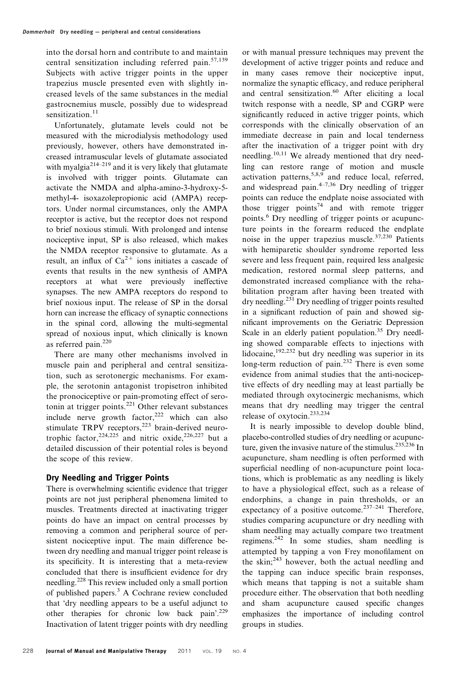into the dorsal horn and contribute to and maintain central sensitization including referred pain. $57,139$ Subjects with active trigger points in the upper trapezius muscle presented even with slightly increased levels of the same substances in the medial gastrocnemius muscle, possibly due to widespread sensitization.<sup>11</sup>

Unfortunately, glutamate levels could not be measured with the microdialysis methodology used previously, however, others have demonstrated increased intramuscular levels of glutamate associated with myalgia<sup>214–219</sup> and it is very likely that glutamate is involved with trigger points. Glutamate can activate the NMDA and alpha-amino-3-hydroxy-5 methyl-4- isoxazolepropionic acid (AMPA) receptors. Under normal circumstances, only the AMPA receptor is active, but the receptor does not respond to brief noxious stimuli. With prolonged and intense nociceptive input, SP is also released, which makes the NMDA receptor responsive to glutamate. As a result, an influx of  $Ca^{2+}$  ions initiates a cascade of events that results in the new synthesis of AMPA receptors at what were previously ineffective synapses. The new AMPA receptors do respond to brief noxious input. The release of SP in the dorsal horn can increase the efficacy of synaptic connections in the spinal cord, allowing the multi-segmental spread of noxious input, which clinically is known as referred pain.<sup>220</sup>

There are many other mechanisms involved in muscle pain and peripheral and central sensitization, such as serotonergic mechanisms. For example, the serotonin antagonist tropisetron inhibited the pronociceptive or pain-promoting effect of serotonin at trigger points.<sup>221</sup> Other relevant substances include nerve growth factor, $222$  which can also stimulate TRPV receptors,<sup>223</sup> brain-derived neurotrophic factor,  $224,225$  and nitric oxide,  $226,227$  but a detailed discussion of their potential roles is beyond the scope of this review.

# Dry Needling and Trigger Points

There is overwhelming scientific evidence that trigger points are not just peripheral phenomena limited to muscles. Treatments directed at inactivating trigger points do have an impact on central processes by removing a common and peripheral source of persistent nociceptive input. The main difference between dry needling and manual trigger point release is its specificity. It is interesting that a meta-review concluded that there is insufficient evidence for dry needling.<sup>228</sup> This review included only a small portion of published papers.<sup>3</sup> A Cochrane review concluded that 'dry needling appears to be a useful adjunct to other therapies for chronic low back pain'.229 Inactivation of latent trigger points with dry needling

or with manual pressure techniques may prevent the development of active trigger points and reduce and in many cases remove their nociceptive input, normalize the synaptic efficacy, and reduce peripheral and central sensitization.<sup>60</sup> After eliciting a local twitch response with a needle, SP and CGRP were significantly reduced in active trigger points, which corresponds with the clinically observation of an immediate decrease in pain and local tenderness after the inactivation of a trigger point with dry needling.<sup>10,11</sup> We already mentioned that dry needling can restore range of motion and muscle activation patterns,  $5,8,9$  and reduce local, referred, and widespread pain. $4-7,36$  Dry needling of trigger points can reduce the endplate noise associated with those trigger points<sup>74</sup> and with remote trigger points.<sup>6</sup> Dry needling of trigger points or acupuncture points in the forearm reduced the endplate noise in the upper trapezius muscle. $37,230$  Patients with hemiparetic shoulder syndrome reported less severe and less frequent pain, required less analgesic medication, restored normal sleep patterns, and demonstrated increased compliance with the rehabilitation program after having been treated with dry needling.231 Dry needling of trigger points resulted in a significant reduction of pain and showed significant improvements on the Geriatric Depression Scale in an elderly patient population.<sup>35</sup> Dry needling showed comparable effects to injections with lidocaine,<sup>192,232</sup> but dry needling was superior in its long-term reduction of pain.<sup>232</sup> There is even some evidence from animal studies that the anti-nociceptive effects of dry needling may at least partially be mediated through oxytocinergic mechanisms, which means that dry needling may trigger the central release of oxytocin.233,234

It is nearly impossible to develop double blind, placebo-controlled studies of dry needling or acupuncture, given the invasive nature of the stimulus.<sup>235,236</sup> In acupuncture, sham needling is often performed with superficial needling of non-acupuncture point locations, which is problematic as any needling is likely to have a physiological effect, such as a release of endorphins, a change in pain thresholds, or an expectancy of a positive outcome.<sup>237–241</sup> Therefore, studies comparing acupuncture or dry needling with sham needling may actually compare two treatment regimens.242 In some studies, sham needling is attempted by tapping a von Frey monofilament on the skin; $243$  however, both the actual needling and the tapping can induce specific brain responses, which means that tapping is not a suitable sham procedure either. The observation that both needling and sham acupuncture caused specific changes emphasizes the importance of including control groups in studies.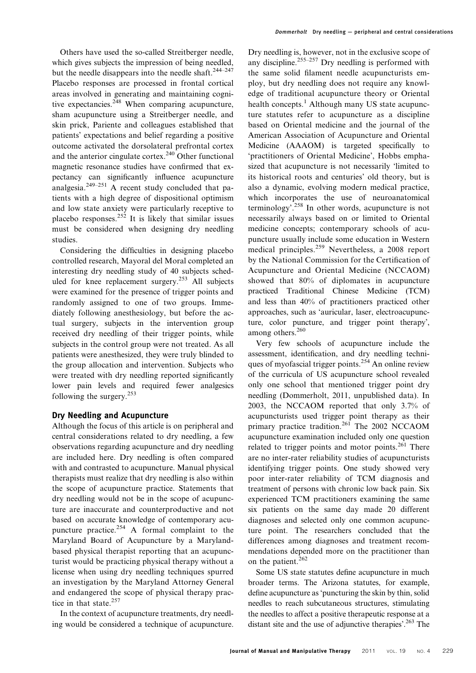Others have used the so-called Streitberger needle, which gives subjects the impression of being needled, but the needle disappears into the needle shaft.<sup>244–247</sup> Placebo responses are processed in frontal cortical areas involved in generating and maintaining cognitive expectancies.<sup>248</sup> When comparing acupuncture, sham acupuncture using a Streitberger needle, and skin prick, Pariente and colleagues established that patients' expectations and belief regarding a positive outcome activated the dorsolateral prefrontal cortex and the anterior cingulate cortex.<sup>240</sup> Other functional magnetic resonance studies have confirmed that expectancy can significantly influence acupuncture analgesia. $249-251$  A recent study concluded that patients with a high degree of dispositional optimism and low state anxiety were particularly receptive to placebo responses.<sup>252</sup> It is likely that similar issues must be considered when designing dry needling studies.

Considering the difficulties in designing placebo controlled research, Mayoral del Moral completed an interesting dry needling study of 40 subjects scheduled for knee replacement surgery.<sup>253</sup> All subjects were examined for the presence of trigger points and randomly assigned to one of two groups. Immediately following anesthesiology, but before the actual surgery, subjects in the intervention group received dry needling of their trigger points, while subjects in the control group were not treated. As all patients were anesthesized, they were truly blinded to the group allocation and intervention. Subjects who were treated with dry needling reported significantly lower pain levels and required fewer analgesics following the surgery. $253$ 

# Dry Needling and Acupuncture

Although the focus of this article is on peripheral and central considerations related to dry needling, a few observations regarding acupuncture and dry needling are included here. Dry needling is often compared with and contrasted to acupuncture. Manual physical therapists must realize that dry needling is also within the scope of acupuncture practice. Statements that dry needling would not be in the scope of acupuncture are inaccurate and counterproductive and not based on accurate knowledge of contemporary acupuncture practice.<sup>254</sup> A formal complaint to the Maryland Board of Acupuncture by a Marylandbased physical therapist reporting that an acupuncturist would be practicing physical therapy without a license when using dry needling techniques spurred an investigation by the Maryland Attorney General and endangered the scope of physical therapy practice in that state.<sup>257</sup>

In the context of acupuncture treatments, dry needling would be considered a technique of acupuncture. Dry needling is, however, not in the exclusive scope of any discipline.<sup>255–257</sup> Dry needling is performed with the same solid filament needle acupuncturists employ, but dry needling does not require any knowledge of traditional acupuncture theory or Oriental health concepts.<sup>1</sup> Although many US state acupuncture statutes refer to acupuncture as a discipline based on Oriental medicine and the journal of the American Association of Acupuncture and Oriental Medicine (AAAOM) is targeted specifically to 'practitioners of Oriental Medicine', Hobbs emphasized that acupuncture is not necessarily 'limited to its historical roots and centuries' old theory, but is also a dynamic, evolving modern medical practice, which incorporates the use of neuroanatomical terminology'.<sup>258</sup> In other words, acupuncture is not necessarily always based on or limited to Oriental medicine concepts; contemporary schools of acupuncture usually include some education in Western medical principles.<sup>259</sup> Nevertheless, a 2008 report by the National Commission for the Certification of Acupuncture and Oriental Medicine (NCCAOM) showed that 80% of diplomates in acupuncture practiced Traditional Chinese Medicine (TCM) and less than 40% of practitioners practiced other approaches, such as 'auricular, laser, electroacupuncture, color puncture, and trigger point therapy', among others.<sup>260</sup>

Very few schools of acupuncture include the assessment, identification, and dry needling techniques of myofascial trigger points.<sup>254</sup> An online review of the curricula of US acupuncture school revealed only one school that mentioned trigger point dry needling (Dommerholt, 2011, unpublished data). In 2003, the NCCAOM reported that only 3.7% of acupuncturists used trigger point therapy as their primary practice tradition.<sup>261</sup> The 2002 NCCAOM acupuncture examination included only one question related to trigger points and motor points. $^{261}$  There are no inter-rater reliability studies of acupuncturists identifying trigger points. One study showed very poor inter-rater reliability of TCM diagnosis and treatment of persons with chronic low back pain. Six experienced TCM practitioners examining the same six patients on the same day made 20 different diagnoses and selected only one common acupuncture point. The researchers concluded that the differences among diagnoses and treatment recommendations depended more on the practitioner than on the patient.<sup>262</sup>

Some US state statutes define acupuncture in much broader terms. The Arizona statutes, for example, define acupuncture as 'puncturing the skin by thin, solid needles to reach subcutaneous structures, stimulating the needles to affect a positive therapeutic response at a distant site and the use of adjunctive therapies'.<sup>263</sup> The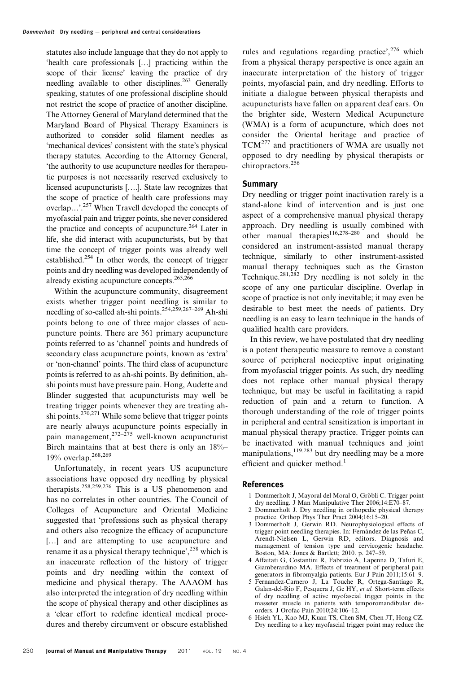statutes also include language that they do not apply to 'health care professionals […] practicing within the scope of their license' leaving the practice of dry needling available to other disciplines.<sup>263</sup> Generally speaking, statutes of one professional discipline should not restrict the scope of practice of another discipline. The Attorney General of Maryland determined that the Maryland Board of Physical Therapy Examiners is authorized to consider solid filament needles as 'mechanical devices' consistent with the state's physical therapy statutes. According to the Attorney General, 'the authority to use acupuncture needles for therapeutic purposes is not necessarily reserved exclusively to licensed acupuncturists [….]. State law recognizes that the scope of practice of health care professions may overlap…'.257 When Travell developed the concepts of myofascial pain and trigger points, she never considered the practice and concepts of acupuncture.<sup>264</sup> Later in life, she did interact with acupuncturists, but by that time the concept of trigger points was already well established.<sup>254</sup> In other words, the concept of trigger points and dry needling was developed independently of already existing acupuncture concepts.265,266

Within the acupuncture community, disagreement exists whether trigger point needling is similar to needling of so-called ah-shi points.254,259,267–269 Ah-shi points belong to one of three major classes of acupuncture points. There are 361 primary acupuncture points referred to as 'channel' points and hundreds of secondary class acupuncture points, known as 'extra' or 'non-channel' points. The third class of acupuncture points is referred to as ah-shi points. By definition, ahshi points must have pressure pain. Hong, Audette and Blinder suggested that acupuncturists may well be treating trigger points whenever they are treating ahshi points.<sup>270,271</sup> While some believe that trigger points are nearly always acupuncture points especially in pain management,  $272-275$  well-known acupuncturist Birch maintains that at best there is only an 18%– 19% overlap.268,269

Unfortunately, in recent years US acupuncture associations have opposed dry needling by physical therapists.258,259,276 This is a US phenomenon and has no correlates in other countries. The Council of Colleges of Acupuncture and Oriental Medicine suggested that 'professions such as physical therapy and others also recognize the efficacy of acupuncture [...] and are attempting to use acupuncture and rename it as a physical therapy technique',<sup>258</sup> which is an inaccurate reflection of the history of trigger points and dry needling within the context of medicine and physical therapy. The AAAOM has also interpreted the integration of dry needling within the scope of physical therapy and other disciplines as a 'clear effort to redefine identical medical procedures and thereby circumvent or obscure established

rules and regulations regarding practice',  $276$  which from a physical therapy perspective is once again an inaccurate interpretation of the history of trigger points, myofascial pain, and dry needling. Efforts to initiate a dialogue between physical therapists and acupuncturists have fallen on apparent deaf ears. On the brighter side, Western Medical Acupuncture (WMA) is a form of acupuncture, which does not consider the Oriental heritage and practice of TCM<sup>277</sup> and practitioners of WMA are usually not opposed to dry needling by physical therapists or chiropractors.<sup>256</sup>

#### **Summary**

Dry needling or trigger point inactivation rarely is a stand-alone kind of intervention and is just one aspect of a comprehensive manual physical therapy approach. Dry needling is usually combined with other manual therapies<sup>116,278–280</sup> and should be considered an instrument-assisted manual therapy technique, similarly to other instrument-assisted manual therapy techniques such as the Graston Technique.<sup>281,282</sup> Dry needling is not solely in the scope of any one particular discipline. Overlap in scope of practice is not only inevitable; it may even be desirable to best meet the needs of patients. Dry needling is an easy to learn technique in the hands of qualified health care providers.

In this review, we have postulated that dry needling is a potent therapeutic measure to remove a constant source of peripheral nociceptive input originating from myofascial trigger points. As such, dry needling does not replace other manual physical therapy technique, but may be useful in facilitating a rapid reduction of pain and a return to function. A thorough understanding of the role of trigger points in peripheral and central sensitization is important in manual physical therapy practice. Trigger points can be inactivated with manual techniques and joint manipulations, $119,283$  but dry needling may be a more efficient and quicker method.<sup>1</sup>

#### References

- 1 Dommerholt J, Mayoral del Moral O, Gröbli C. Trigger point
- dry needling. J Man Manipulative Ther 2006;14:E70–87. 2 Dommerholt J. Dry needling in orthopedic physical therapy
- practice. Orthop Phys Ther Pract 2004;16:15–20. 3 Dommerholt J, Gerwin RD. Neurophysiological effects of trigger point needling therapies. In: Fernández de las Peñas C,
- Arendt-Nielsen L, Gerwin RD, editors. Diagnosis and management of tension type and cervicogenic headache. Boston, MA: Jones & Bartlett; 2010. p. 247–59. 4 Affaitati G, Costantini R, Fabrizio A, Lapenna D, Tafuri E,
- Giamberardino MA. Effects of treatment of peripheral pain generators in fibromyalgia patients. Eur J Pain  $2011:15:61-9$ .
- 5 Fernandez-Carnero J, La Touche R, Ortega-Santiago R, Galan-del-Rio F, Pesquera J, Ge HY, et al. Short-term effects of dry needling of active myofascial trigger points in the masseter muscle in patients with temporomandibular disorders. J Orofac Pain 2010;24:106–12.
- 6 Hsieh YL, Kao MJ, Kuan TS, Chen SM, Chen JT, Hong CZ. Dry needling to a key myofascial trigger point may reduce the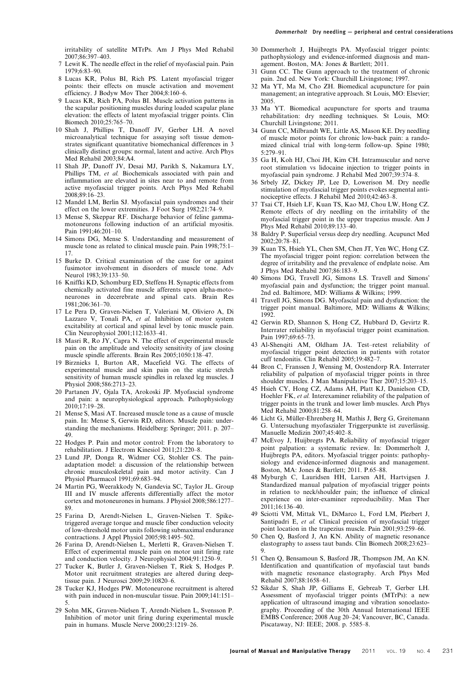irritability of satellite MTrPs. Am J Phys Med Rehabil 2007;86:397–403.

- 7 Lewit K. The needle effect in the relief of myofascial pain. Pain 1979;6:83–90.
- 8 Lucas KR, Polus BI, Rich PS. Latent myofascial trigger points: their effects on muscle activation and movement efficiency. J Bodyw Mov Ther 2004;8:160–6.
- 9 Lucas KR, Rich PA, Polus BI. Muscle activation patterns in the scapular positioning muscles during loaded scapular plane elevation: the effects of latent myofascial trigger points. Clin Biomech 2010;25:765–70.
- 10 Shah J, Phillips T, Danoff JV, Gerber LH. A novel microanalytical technique for assaying soft tissue demonstrates significant quantitative biomechanical differences in 3 clinically distinct groups: normal, latent and active. Arch Phys Med Rehabil 2003;84:A4.
- 11 Shah JP, Danoff JV, Desai MJ, Parikh S, Nakamura LY, Phillips TM, et al. Biochemicals associated with pain and inflammation are elevated in sites near to and remote from active myofascial trigger points. Arch Phys Med Rehabil 2008;89:16–23.
- 12 Mandel LM, Berlin SJ. Myofascial pain syndromes and their effect on the lower extremities. J Foot Surg 1982;21:74–9.
- 13 Mense S, Skeppar RF. Discharge behavior of feline gammamotoneurons following induction of an artificial myositis. Pain 1991;46:201–10.
- 14 Simons DG, Mense S. Understanding and measurement of muscle tone as related to clinical muscle pain. Pain 1998;75:1– 17.
- 15 Burke D. Critical examination of the case for or against fusimotor involvement in disorders of muscle tone. Adv Neurol 1983;39:133–50.
- 16 Kniffki KD, Schomburg ED, Steffens H. Synaptic effects from chemically activated fine muscle afferents upon alpha-motoneurones in decerebrate and spinal cats. Brain Res 1981;206:361–70.
- 17 Le Pera D, Graven-Nielsen T, Valeriani M, Oliviero A, Di Lazzaro V, Tonali PA, et al. Inhibition of motor system excitability at cortical and spinal level by tonic muscle pain. Clin Neurophysiol 2001;112:1633–41.
- 18 Masri R, Ro JY, Capra N. The effect of experimental muscle pain on the amplitude and velocity sensitivity of jaw closing muscle spindle afferents. Brain Res 2005;1050:138–47.
- 19 Birznieks I, Burton AR, Macefield VG. The effects of experimental muscle and skin pain on the static stretch sensitivity of human muscle spindles in relaxed leg muscles. J Physiol 2008;586:2713–23.
- 20 Partanen JV, Ojala TA, Arokoski JP. Myofascial syndrome and pain: a neurophysiological approach. Pathophysiology 2010;17:19–28.
- 21 Mense S, Masi AT. Increased muscle tone as a cause of muscle pain. In: Mense S, Gerwin RD, editors. Muscle pain: understanding the mechanisms. Heidelberg: Springer; 2011. p. 207– 49.
- 22 Hodges P. Pain and motor control: From the laboratory to rehabilitation. J Electrom Kinesiol 2011;21:220–8.
- 23 Lund JP, Donga R, Widmer CG, Stohler CS. The painadaptation model: a discussion of the relationship between chronic musculoskeletal pain and motor activity. Can J Physiol Pharmacol 1991;69:683–94.
- 24 Martin PG, Weerakkody N, Gandevia SC, Taylor JL. Group III and IV muscle afferents differentially affect the motor cortex and motoneurones in humans. J Physiol 2008;586:1277– 89.
- 25 Farina D, Arendt-Nielsen L, Graven-Nielsen T. Spiketriggered average torque and muscle fiber conduction velocity of low-threshold motor units following submaximal endurance contractions. J Appl Physiol 2005;98:1495–502.
- 26 Farina D, Arendt-Nielsen L, Merletti R, Graven-Nielsen T. Effect of experimental muscle pain on motor unit firing rate and conduction velocity. J Neurophysiol 2004;91:1250–9.
- 27 Tucker K, Butler J, Graven-Nielsen T, Riek S, Hodges P. Motor unit recruitment strategies are altered during deeptissue pain. J Neurosci 2009;29:10820–6.
- 28 Tucker KJ, Hodges PW. Motoneurone recruitment is altered with pain induced in non-muscular tissue. Pain 2009;141:151– 5.
- 29 Sohn MK, Graven-Nielsen T, Arendt-Nielsen L, Svensson P. Inhibition of motor unit firing during experimental muscle pain in humans. Muscle Nerve 2000;23:1219–26.
- 30 Dommerholt J, Huijbregts PA. Myofascial trigger points: pathophysiology and evidence-informed diagnosis and management. Boston, MA: Jones & Bartlett; 2011.
- 31 Gunn CC. The Gunn approach to the treatment of chronic pain. 2nd ed. New York: Churchill Livingstone; 1997.
- 32 Ma YT, Ma M, Cho ZH. Biomedical acupuncture for pain management; an integrative approach. St Louis, MO: Elsevier; 2005.
- 33 Ma YT. Biomedical acupuncture for sports and trauma rehabilitation: dry needling techniques. St Louis, MO: Churchill Livingstone; 2011.
- 34 Gunn CC, Milbrandt WE, Little AS, Mason KE. Dry needling of muscle motor points for chronic low-back pain: a randomized clinical trial with long-term follow-up. Spine 1980; 5:279–91.
- 35 Ga H, Koh HJ, Choi JH, Kim CH. Intramuscular and nerve root stimulation vs lidocaine injection to trigger points in myofascial pain syndrome. J Rehabil Med 2007;39:374–8.
- 36 Srbely JZ, Dickey JP, Lee D, Lowerison M. Dry needle stimulation of myofascial trigger points evokes segmental antinociceptive effects. J Rehabil Med 2010;42:463–8.
- 37 Tsai CT, Hsieh LF, Kuan TS, Kao MJ, Chou LW, Hong CZ. Remote effects of dry needling on the irritability of the myofascial trigger point in the upper trapezius muscle. Am J Phys Med Rehabil 2010;89:133–40.
- 38 Baldry P. Superficial versus deep dry needling. Acupunct Med 2002;20:78–81.
- 39 Kuan TS, Hsieh YL, Chen SM, Chen JT, Yen WC, Hong CZ. The myofascial trigger point region: correlation between the degree of irritability and the prevalence of endplate noise. Am J Phys Med Rehabil 2007;86:183–9.
- 40 Simons DG, Travell JG, Simons LS. Travell and Simons' myofascial pain and dysfunction; the trigger point manual. 2nd ed. Baltimore, MD: Williams & Wilkins; 1999.
- 41 Travell JG, Simons DG. Myofascial pain and dysfunction: the trigger point manual. Baltimore, MD: Williams & Wilkins; 1992.
- 42 Gerwin RD, Shannon S, Hong CZ, Hubbard D, Gevirtz R. Interrater reliability in myofascial trigger point examination. Pain 1997:69:65-73.
- 43 Al-Shenqiti AM, Oldham JA. Test–retest reliability of myofascial trigger point detection in patients with rotator cuff tendonitis. Clin Rehabil 2005;19:482–7.
- 44 Bron C, Franssen J, Wensing M, Oostendorp RA. Interrater reliability of palpation of myofascial trigger points in three shoulder muscles. J Man Manipulative Ther 2007;15:203–15.
- 45 Hsieh CY, Hong CZ, Adams AH, Platt KJ, Danielson CD, Hoehler FK, et al. Interexaminer reliability of the palpation of trigger points in the trunk and lower limb muscles. Arch Phys Med Rehabil 2000;81:258–64.
- 46 Licht G, Müller-Ehrenberg H, Mathis J, Berg G, Greitemann G. Untersuchung myofaszialer Triggerpunkte ist zuverlässig. Manuelle Medizin 2007;45:402–8.
- 47 McEvoy J, Huijbregts PA. Reliability of myofascial trigger point palpation: a systematic review. In: Dommerholt J, Huijbregts PA, editors. Myofascial trigger points: pathophysiology and evidence-informed diagnosis and management. Boston, MA: Jones & Bartlett; 2011. P.65–88.
- 48 Myburgh C, Lauridsen HH, Larsen AH, Hartvigsen J. Standardized manual palpation of myofascial trigger points in relation to neck/shoulder pain; the influence of clinical experience on inter-examiner reproducibility. Man Ther 2011;16:136–40.
- 49 Sciotti VM, Mittak VL, DiMarco L, Ford LM, Plezbert J, Santipadri E, et al. Clinical precision of myofascial trigger point location in the trapezius muscle. Pain 2001;93:259–66.
- 50 Chen Q, Basford J, An KN. Ability of magnetic resonance elastography to assess taut bands. Clin Biomech 2008;23:623– 9.
- 51 Chen Q, Bensamoun S, Basford JR, Thompson JM, An KN. Identification and quantification of myofascial taut bands with magnetic resonance elastography. Arch Phys Med Rehabil 2007;88:1658–61.
- 52 Sikdar S, Shah JP, Gilliams E, Gebreab T, Gerber LH. Assessment of myofascial trigger points (MTrPs): a new application of ultrasound imaging and vibration sonoelastography. Proceeding of the 30th Annual International IEEE EMBS Conference; 2008 Aug 20–24; Vancouver, BC, Canada. Piscataway, NJ: IEEE; 2008. p. 5585–8.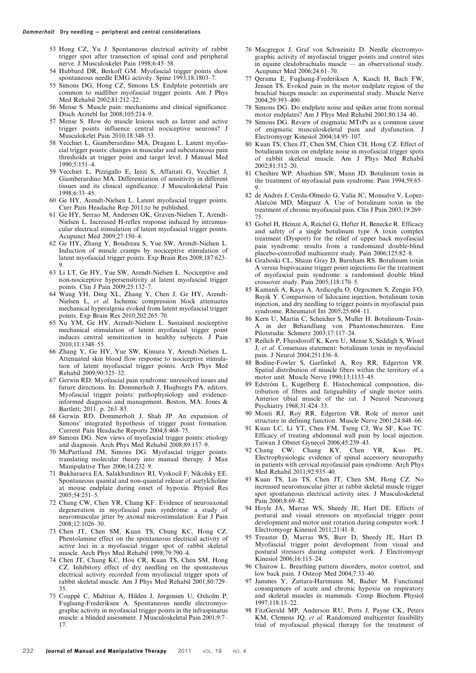- 53 Hong CZ, Yu J. Spontaneous electrical activity of rabbit trigger spot after transection of spinal cord and peripheral nerve. J Musculoskelet Pain 1998;6:45–58.
- 54 Hubbard DR, Berkoff GM. Myofascial trigger points show spontaneous needle EMG activity. Spine 1993;18:1803-7.
- 55 Simons DG, Hong CZ, Simons LS. Endplate potentials are common to midfiber myofascial trigger points. Am J Phys Med Rehabil 2002;81:212–22.
- 56 Mense S. Muscle pain: mechanisms and clinical significance. Dtsch Arztebl Int 2008;105:214–9.
- 57 Mense S. How do muscle lesions such as latent and active trigger points influence central nociceptive neurons? J Musculokelet Pain 2010;18:348–53.
- 58 Vecchiet L, Giamberardino MA, Dragani L. Latent myofascial trigger points: changes in muscular and subcutaneous pain thresholds at trigger point and target level. J Manual Med  $1990.5:151-4$
- 59 Vecchiet L, Pizzigallo E, Iezzi S, Affaitati G, Vecchiet J, Giamberardino MA. Differentiation of sensitivity in different tissues and its clinical significance. J Musculoskeletal Pain 1998;6:33–45.
- 60 Ge HY, Arendt-Nielsen L. Latent myofascial trigger points. Curr Pain Headache Rep 2011;to be published.
- 61 Ge HY, Serrao M, Andersen OK, Graven-Nielsen T, Arendt-Nielsen L. Increased H-reflex response induced by intramuscular electrical stimulation of latent myofascial trigger points. Acupunct Med 2009;27:150–4.
- 62 Ge HY, Zhang Y, Boudreau S, Yue SW, Arendt-Nielsen L. Induction of muscle cramps by nociceptive stimulation of latent myofascial trigger points. Exp Brain Res 2008;187:623– 9.
- 63 Li LT, Ge HY, Yue SW, Arendt-Nielsen L. Nociceptive and non-nociceptive hypersensitivity at latent myofascial trigger points. Clin J Pain 2009;25:132–7.
- 64 Wang YH, Ding XL, Zhang Y, Chen J, Ge HY, Arendt-Nielsen L, et al. Ischemic compression block attenuates mechanical hyperalgesia evoked from latent myofascial trigger points. Exp Brain Res 2010;202:265–70.
- 65 Xu YM, Ge HY, Arendt-Nielsen L. Sustained nociceptive mechanical stimulation of latent myofascial trigger point induces central sensitization in healthy subjects. J Pain 2010;11:1348–55.
- 66 Zhang Y, Ge HY, Yue SW, Kimura Y, Arendt-Nielsen L. Attenuated skin blood flow response to nociceptive stimulation of latent myofascial trigger points. Arch Phys Med Rehabil 2009;90:325–32.
- 67 Gerwin RD. Myofascial pain syndrome: unresolved issues and future directions. In: Dommerholt J, Huijbregts PA, editors. Myofascial trigger points: pathophysiology and evidenceinformed diagnosis and management. Boston, MA: Jones & Bartlett; 2011. p. 263–83.
- 68 Gerwin RD, Dommerholt J, Shah JP. An expansion of Simons' integrated hypothesis of trigger point formation. Current Pain Headache Reports 2004;8:468–75.
- 69 Simons DG. New views of myofascial trigger points: etiology and diagnosis. Arch Phys Med Rehabil 2008;89:157–9.
- 70 McPartland JM, Simons DG. Myofascial trigger points: translating molecular theory into manual therapy. J Man Manipulative Ther 2006;14:232–9.
- 71 Bukharaeva EA, Salakhutdinov RI, Vyskocil F, Nikolsky EE. Spontaneous quantal and non-quantal release of acetylcholine at mouse endplate during onset of hypoxia. Physiol Res 2005;54:251–5.
- 72 Chang CW, Chen YR, Chang KF. Evidence of neuroaxonal degeneration in myofascial pain syndrome: a study of neuromuscular jitter by axonal microstimulation. Eur J Pain 2008;12:1026–30.
- 73 Chen JT, Chen SM, Kuan TS, Chung KC, Hong CZ. Phentolamine effect on the spontaneous electrical activity of active loci in a myofascial trigger spot of rabbit skeletal muscle. Arch Phys Med Rehabil 1998;79:790–4.
- 74 Chen JT, Chung KC, Hou CR, Kuan TS, Chen SM, Hong CZ. Inhibitory effect of dry needling on the spontaneous electrical activity recorded from myofascial trigger spots of rabbit skeletal muscle. Am J Phys Med Rehabil 2001;80:729– 35.
- 75 Couppe´ C, Midttun A, Hilden J, Jørgensen U, Oxholm P, Fuglsang-Frederiksen A. Spontaneous needle electromyographic activity in myofascial trigger points in the infraspinatus muscle: a blinded assessment. J Musculoskeletal Pain 2001;9:7– 17.
- 76 Macgregor J, Graf von Schweinitz D. Needle electromyographic activity of myofascial trigger points and control sites in equine cleidobrachialis muscle — an observational study. Acupunct Med 2006;24:61–70.
- 77 Qerama E, Fuglsang-Frederiksen A, Kasch H, Bach FW, Jensen TS. Evoked pain in the motor endplate region of the brachial biceps muscle: an experimental study. Muscle Nerve 2004;29:393–400.
- 78 Simons DG. Do endplate noise and spikes arise from normal motor endplates? Am J Phys Med Rehabil 2001;80:134–40.
- 79 Simons DG. Review of enigmatic MTrPs as a common cause of enigmatic musculoskeletal pain and dysfunction. J Electromyogr Kinesiol 2004;14:95–107.
- 80 Kuan TS, Chen JT, Chen SM, Chien CH, Hong CZ. Effect of botulinum toxin on endplate noise in myofascial trigger spots of rabbit skeletal muscle. Am J Phys Med Rehabil 2002;81:512–20.
- 81 Cheshire WP, Abashian SW, Mann JD. Botulinum toxin in the treatment of myofascial pain syndrome. Pain 1994;59:65– 9.
- 82 de Andrés J, Cerda-Olmedo G, Valía JC, Monsalve V, Lopez-Alarcón MD, Minguez A. Use of botulinum toxin in the treatment of chronic myofascial pain. Clin J Pain 2003;19:269– 75.
- 83 Gobel H, Heinze A, Reichel G, Hefter H, Benecke R. Efficacy and safety of a single botulinum type A toxin complex treatment (Dysport) for the relief of upper back myofascial pain syndrome: results from a randomized double-blind placebo-controlled multicentre study. Pain 2006;125:82–8.
- 84 Graboski CL, Shaun Gray D, Burnham RS. Botulinum toxin A versus bupivacaine trigger point injections for the treatment of myofascial pain syndrome: a randomised double blind crossover study. Pain 2005;118:170–5.
- 85 Kamanli A, Kaya A, Ardicoglu O, Ozgocmen S, Zengin FO, Bayik Y. Comparison of lidocaine injection, botulinum toxin injection, and dry needling to trigger points in myofascial pain syndrome. Rheumatol Int 2005;25:604–11.
- 86 Kern U, Martin C, Scheicher S, Muller H. Botulinum-Toxin-A in der Behandlung von Phantomschmerzen. Eine Pilotstudie. Schmerz 2003;17:117–24.
- 87 Reilich P, Fheodoroff K, Kern U, Mense S, Seddigh S, Wissel J, et al. Consensus statement: botulinum toxin in myofascial pain. J Neurol 2004;251:I36–8.
- 88 Bodine-Fowler S, Garfinkel A, Roy RR, Edgerton VR. Spatial distribution of muscle fibers within the territory of a motor unit. Muscle Nerve 1990;13:1133–45.
- 89 Edström L, Kugelberg E. Histochemical composition, distribution of fibres and fatiguability of single motor units. Anterior tibial muscle of the rat. J Neurol Neurosurg Psychiatry 1968;31:424–33.
- 90 Monti RJ, Roy RR, Edgerton VR. Role of motor unit structure in defining function. Muscle Nerve 2001;24:848–66.
- 91 Kuan LC, Li YT, Chen FM, Tseng CJ, Wu SF, Kuo TC. Efficacy of treating abdominal wall pain by local injection. Taiwan J Obstet Gynecol 2006;45:239–43.
- 92 Chang CW, Chang KY, Chen YR, Kuo PL. Electrophysiologic evidence of spinal accessory neuropathy in patients with cervical myofascial pain syndrome. Arch Phys Med Rehabil 2011;92:935–40.
- 93 Kuan TS, Lin TS, Chen JT, Chen SM, Hong CZ. No increased neuromuscular jitter at rabbit skeletal muscle trigger spot spontaneous electrical activity sites. J Musculoskeletal Pain 2000;8:69–82.
- 94 Hoyle JA, Marras WS, Sheedy JE, Hart DE. Effects of postural and visual stressors on myofascial trigger point development and motor unit rotation during computer work. J Electromyogr Kinesiol 2011;21:41–8.
- 95 Treaster D, Marras WS, Burr D, Sheedy JE, Hart D. Myofascial trigger point development from visual and postural stressors during computer work. J Electromyogr Kinesiol 2006;16:115–24.
- 96 Chaitow L. Breathing pattern disorders, motor control, and low back pain. J Osteop Med 2004;7:33–40.
- 97 Jammes Y, Zattara-Hartmann M, Badier M. Functional consequences of acute and chronic hypoxia on respiratory and skeletal muscles in mammals. Comp Biochem Physiol 1997;118:15–22.
- 98 FitzGerald MP, Anderson RU, Potts J, Payne CK, Peters KM, Clemens JO, et al. Randomized multicenter feasibility trial of myofascial physical therapy for the treatment of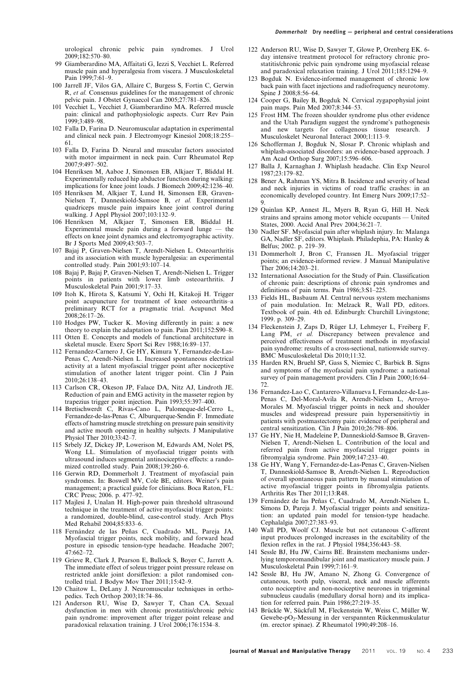urological chronic pelvic pain syndromes. J Urol 2009;182:570–80.

- 99 Giamberardino MA, Affaitati G, Iezzi S, Vecchiet L. Referred muscle pain and hyperalgesia from viscera. J Musculoskeletal Pain 1999;7:61–9.
- 100 Jarrell JF, Vilos GA, Allaire C, Burgess S, Fortin C, Gerwin R, et al. Consensus guidelines for the management of chronic pelvic pain. J Obstet Gynaecol Can 2005;27:781–826.
- 101 Vecchiet L, Vecchiet J, Giamberardino MA. Referred muscle pain: clinical and pathophysiologic aspects. Curr Rev Pain 1999;3:489–98.
- 102 Falla D, Farina D. Neuromuscular adaptation in experimental and clinical neck pain. J Electromyogr Kinesiol 2008;18:255– 61.
- 103 Falla D, Farina D. Neural and muscular factors associated with motor impairment in neck pain. Curr Rheumatol Rep 2007;9:497–502.
- 104 Henriksen M, Aaboe J, Simonsen EB, Alkjaer T, Bliddal H. Experimentally reduced hip abductor function during walking: implications for knee joint loads. J Biomech 2009;42:1236–40.
- 105 Henriksen M, Alkjaer T, Lund H, Simonsen EB, Graven-Nielsen T, Danneskiold-Samsoe B, et al. Experimental quadriceps muscle pain impairs knee joint control during walking. J Appl Physiol 2007;103:132–9.
- 106 Henriksen M, Alkjaer T, Simonsen EB, Bliddal H. Experimental muscle pain during a forward lunge — the effects on knee joint dynamics and electromyographic activity. Br J Sports Med 2009;43:503–7.
- 107 Bajaj P, Graven-Nielsen T, Arendt-Nielsen L. Osteoarthritis and its association with muscle hyperalgesia: an experimental controlled study. Pain 2001;93:107–14.
- 108 Bajaj P, Bajaj P, Graven-Nielsen T, Arendt-Nielsen L. Trigger points in patients with lower limb osteoarthritis. J Musculoskeletal Pain 2001;9:17–33.
- 109 Itoh K, Hirota S, Katsumi Y, Ochi H, Kitakoji H. Trigger point acupuncture for treatment of knee osteoarthritis–a preliminary RCT for a pragmatic trial. Acupunct Med 2008;26:17–26.
- 110 Hodges PW, Tucker K. Moving differently in pain: a new theory to explain the adaptation to pain. Pain 2011;152:S90–8.
- 111 Otten E. Concepts and models of functional architecture in skeletal muscle. Exerc Sport Sci Rev 1988;16:89–137.
- 112 Fernandez-Carnero J, Ge HY, Kimura Y, Fernandez-de-Las-Penas C, Arendt-Nielsen L. Increased spontaneous electrical activity at a latent myofascial trigger point after nociceptive stimulation of another latent trigger point. Clin J Pain 2010;26:138–43.
- 113 Carlson CR, Okeson JP, Falace DA, Nitz AJ, Lindroth JE. Reduction of pain and EMG activity in the masseter region by trapezius trigger point injection. Pain 1993;55:397–400.
- 114 Bretischwerdt C, Rivas-Cano L, Palomeque-del-Cerro L, Fernandez-de-las-Penas C, Alburquerque-Sendin F. Immediate effects of hamstring muscle stretching on pressure pain sensitivity and active mouth opening in healthy subjects. J Manipulative Physiol Ther 2010;33:42–7.
- 115 Srbely JZ, Dickey JP, Lowerison M, Edwards AM, Nolet PS, Wong LL. Stimulation of myofascial trigger points with ultrasound induces segmental antinociceptive effects: a randomized controlled study. Pain 2008;139:260–6.
- 116 Gerwin RD, Dommerholt J. Treatment of myofascial pain syndromes. In: Boswell MV, Cole BE, editors. Weiner's pain management; a practical guide for clinicians. Boca Raton, FL: CRC Press; 2006. p. 477–92.
- 117 Majlesi J, Unalan H. High-power pain threshold ultrasound technique in the treatment of active myofascial trigger points: a randomized, double-blind, case-control study. Arch Phys Med Rehabil 2004;85:833–6.
- 118 Fernández de las Peñas C, Cuadrado ML, Pareja JA. Myofascial trigger points, neck mobility, and forward head posture in episodic tension-type headache. Headache 2007; 47:662–72.
- 119 Grieve R, Clark J, Pearson E, Bullock S, Boyer C, Jarrett A. The immediate effect of soleus trigger point pressure release on restricted ankle joint dorsiflexion: a pilot randomised controlled trial. J Bodyw Mov Ther 2011;15:42–9.
- 120 Chaitow L, DeLany J. Neuromuscular techniques in orthopedics. Tech Orthop 2003;18:74–86.
- 121 Anderson RU, Wise D, Sawyer T, Chan CA. Sexual dysfunction in men with chronic prostatitis/chronic pelvic pain syndrome: improvement after trigger point release and paradoxical relaxation training. J Urol 2006;176:1534–8.
- 122 Anderson RU, Wise D, Sawyer T, Glowe P, Orenberg EK. 6 day intensive treatment protocol for refractory chronic prostatitis/chronic pelvic pain syndrome using myofascial release and paradoxical relaxation training. J Urol 2011;185:1294–9.
- 123 Bogduk N. Evidence-informed management of chronic low back pain with facet injections and radiofrequency neurotomy. Spine J 2008;8:56–64.
- 124 Cooper G, Bailey B, Bogduk N. Cervical zygapophysial joint pain maps. Pain Med 2007;8:344–53.
- 125 Frost HM. The frozen shoulder syndrome plus other evidence and the Utah Paradigm suggest the syndrome's pathogenesis and new targets for collagenous tissue research. Musculoskelet Neuronal Interact 2000;1:113–9.
- 126 Schofferman J, Bogduk N, Slosar P. Chronic whiplash and whiplash-associated disorders: an evidence-based approach. J Am Acad Orthop Surg 2007;15:596–606.
- 127 Balla J, Karnaghan J. Whiplash headache. Clin Exp Neurol 1987;23:179–82.
- 128 Bener A, Rahman YS, Mitra B. Incidence and severity of head and neck injuries in victims of road traffic crashes: in an economically developed country. Int Emerg Nurs 2009;17:52– 9.
- 129 Quinlan KP, Annest JL, Myers B, Ryan G, Hill H. Neck strains and sprains among motor vehicle occupants — United States, 2000. Accid Anal Prev 2004;36:21–7.
- 130 Nadler SF. Myofascial pain after whiplash injury. In: Malanga GA, Nadler SF, editors. Whiplash. Philadephia, PA: Hanley & Belfus; 2002. p. 219–39.
- 131 Dommerholt J, Bron C, Franssen JL. Myofascial trigger points; an evidence-informed review. J Manual Manipulative Ther 2006;14:203–21.
- 132 International Association for the Study of Pain. Classification of chronic pain: descriptions of chronic pain syndromes and definitions of pain terms. Pain 1986;3:S1–225.
- 133 Fields HL, Basbaum AI. Central nervous system mechanisms of pain modulation. In: Melzack R, Wall PD, editors. Textbook of pain. 4th ed. Edinburgh: Churchill Livingstone; 1999. p. 309–29.
- 134 Fleckenstein J, Zaps D, Rüger LJ, Lehmeyer L, Freiberg F, Lang PM, et al. Discrepancy between prevalence and perceived effectiveness of treatment methods in myofascial pain syndrome: results of a cross-sectional, nationwide survey. BMC Musculoskeletal Dis 2010;11:32.
- 135 Harden RN, Bruehl SP, Gass S, Niemiec C, Barbick B. Signs and symptoms of the myofascial pain syndrome: a national survey of pain management providers. Clin J Pain 2000;16:64– 72.
- 136 Fernandez-Lao C, Cantarero-Villanueva I, Fernandez-de-Las-Penas C, Del-Moral-Avila R, Arendt-Nielsen L, Arroyo-Morales M. Myofascial trigger points in neck and shoulder muscles and widespread pressure pain hypersensitivtiy in patients with postmastectomy pain: evidence of peripheral and central sensitization. Clin J Pain 2010;26:798–806.
- 137 Ge HY, Nie H, Madeleine P, Danneskiold-Samsoe B, Graven-Nielsen T, Arendt-Nielsen L. Contribution of the local and referred pain from active myofascial trigger points in fibromyalgia syndrome. Pain 2009;147:233–40.
- 138 Ge HY, Wang Y, Fernandez-de-Las-Penas C, Graven-Nielsen T, Danneskiold-Samsoe B, Arendt-Nielsen L. Reproduction of overall spontaneous pain pattern by manual stimulation of active myofascial trigger points in fibromyalgia patients. Arthritis Res Ther 2011;13:R48.
- 139 Fernández de las Peñas C, Cuadrado M, Arendt-Nielsen L, Simons D, Pareja J. Myofascial trigger points and sensitization: an updated pain model for tension-type headache. Cephalalgia 2007;27:383–93.
- 140 Wall PD, Woolf CJ. Muscle but not cutaneous C-afferent input produces prolonged increases in the excitability of the flexion reflex in the rat. J Physiol 1984;356:443–58.
- 141 Sessle BJ, Hu JW, Cairns BE. Brainstem mechanisms underlying temporomandibular joint and masticatory muscle pain. J Musculoskeletal Pain 1999;7:161–9.
- 142 Sessle BJ, Hu JW, Amano N, Zhong G. Convergence of cutaneous, tooth pulp, visceral, neck and muscle afferents onto nociceptive and non-nociceptive neurones in trigeminal subnucleus caudalis (medullary dorsal horn) and its implication for referred pain. Pain 1986;27:219–35.
- 143 Brückle W, Sückfull M, Fleckenstein W, Weiss C, Müller W. Gewebe-pO<sub>2</sub>-Messung in der verspannten Rückenmuskulatur (m. erector spinae). Z Rheumatol 1990;49:208–16.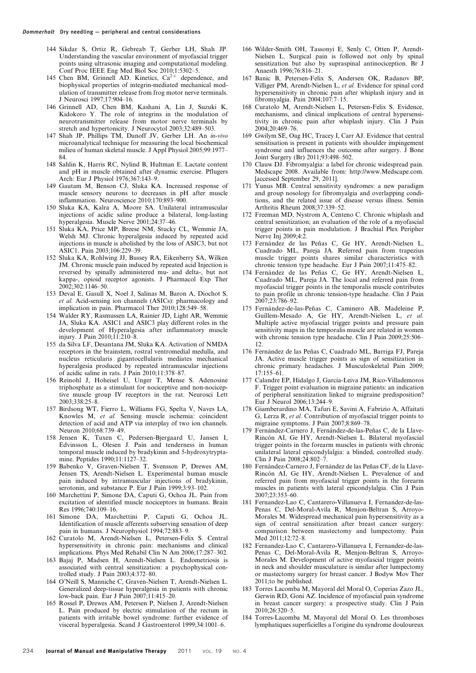- 144 Sikdar S, Ortiz R, Gebreab T, Gerber LH, Shah JP. Understanding the vascular environment of myofascial trigger points using ultrasonic imaging and computational modeling. Conf Proc IEEE Eng Med Biol Soc 2010;1:5302–5.
- 145 Chen BM, Grinnell AD. Kinetics,  $Ca^{2+}$  dependence, and biophysical properties of integrin-mediated mechanical modulation of transmitter release from frog motor nerve terminals. J Neurosci 1997;17:904–16.
- 146 Grinnell AD, Chen BM, Kashani A, Lin J, Suzuki K, Kidokoro Y. The role of integrins in the modulation of neurotransmitter release from motor nerve terminals by stretch and hypertonicity. J Neurocytol 2003;32:489–503.
- 147 Shah JP, Phillips TM, Danoff JV, Gerber LH. An in-vivo microanalytical technique for measuring the local biochemical milieu of human skeletal muscle. J Appl Physiol 2005;99:1977– 84.
- 148 Sahlin K, Harris RC, Nylind B, Hultman E. Lactate content and pH in muscle obtained after dynamic exercise. Pflugers Arch: Eur J Physiol 1976;367:143–9.
- 149 Gautam M, Benson CJ, Sluka KA. Increased response of muscle sensory neurons to decreases in pH after muscle inflammation. Neuroscience 2010;170:893–900.
- 150 Sluka KA, Kalra A, Moore SA. Unilateral intramuscular injections of acidic saline produce a bilateral, long-lasting hyperalgesia. Muscle Nerve 2001;24:37–46.
- 151 Sluka KA, Price MP, Breese NM, Stucky CL, Wemmie JA, Welsh MJ. Chronic hyperalgesia induced by repeated acid injections in muscle is abolished by the loss of ASIC3, but not ASIC1. Pain 2003;106:229–39.
- 152 Sluka KA, Rohlwing JJ, Bussey RA, Eikenberry SA, Wilken JM. Chronic muscle pain induced by repeated acid Injection is reversed by spinally administered mu- and delta-, but not kappa-, opioid receptor agonists. J Pharmacol Exp Ther 2002;302:1146–50.
- 153 Deval E, Gasull X, Noel J, Salinas M, Baron A, Diochot S, et al. Acid-sensing ion channels (ASICs): pharmacology and implication in pain. Pharmacol Ther 2010;128:549–58.
- 154 Walder RY, Rasmussen LA, Rainier JD, Light AR, Wemmie JA, Sluka KA. ASIC1 and ASIC3 play different roles in the development of Hyperalgesia after inflammatory muscle injury. J Pain 2010;11:210–8.
- 155 da Silva LF, Desantana JM, Sluka KA. Activation of NMDA receptors in the brainstem, rostral ventromedial medulla, and nucleus reticularis gigantocellularis mediates mechanical hyperalgesia produced by repeated intramuscular injections of acidic saline in rats. J Pain 2010;11:378–87.
- 156 Reinohl J, Hoheisel U, Unger T, Mense S. Adenosine triphosphate as a stimulant for nociceptive and non-nociceptive muscle group IV receptors in the rat. Neurosci Lett 2003;338:25–8.
- 157 Birdsong WT, Fierro L, Williams FG, Spelta V, Naves LA, Knowles M, et al. Sensing muscle ischemia: coincident detection of acid and ATP via interplay of two ion channels. Neuron 2010;68:739–49.
- 158 Jensen K, Tuxen C, Pedersen-Bjergaard U, Jansen I, Edvinsson L, Olesen J. Pain and tenderness in human temporal muscle induced by bradykinin and 5-hydroxytryptamine. Peptides 1990;11:1127–32.
- 159 Babenko V, Graven-Nielsen T, Svensson P, Drewes AM, Jensen TS, Arendt-Nielsen L. Experimental human muscle pain induced by intramuscular injections of bradykinin, serotonin, and substance P. Eur J Pain 1999;3:93–102.
- 160 Marchettini P, Simone DA, Caputi G, Ochoa JL. Pain from excitation of identified muscle nociceptors in humans. Brain Res 1996;740:109–16.
- 161 Simone DA, Marchettini P, Caputi G, Ochoa JL. Identification of muscle afferents subserving sensation of deep pain in humans. J Neurophysiol 1994;72:883–9.
- 162 Curatolo M, Arendt-Nielsen L, Petersen-Felix S. Central hypersensitivity in chronic pain: mechanisms and clinical implications. Phys Med Rehabil Clin N Am 2006;17:287–302.
- 163 Bajaj P, Madsen H, Arendt-Nielsen L. Endometriosis is associated with central sensitization: a psychophysical controlled study. J Pain 2003;4:372–80.
- 164 O'Neill S, Manniche C, Graven-Nielsen T, Arendt-Nielsen L. Generalized deep-tissue hyperalgesia in patients with chronic low-back pain. Eur J Pain 2007;11:415–20.
- 165 Rossel P, Drewes AM, Petersen P, Nielsen J, Arendt-Nielsen L. Pain produced by electric stimulation of the rectum in patients with irritable bowel syndrome: further evidence of visceral hyperalgesia. Scand J Gastroenterol 1999;34:1001–6.
- 166 Wilder-Smith OH, Tassonyi E, Senly C, Otten P, Arendt-Nielsen L. Surgical pain is followed not only by spinal sensitization but also by supraspinal antinociception. Br J Anaesth 1996;76:816–21.
- 167 Banic B, Petersen-Felix S, Andersen OK, Radanov BP, Villiger PM, Arendt-Nielsen L, et al. Evidence for spinal cord hypersensitivity in chronic pain after whiplash injury and in fibromyalgia. Pain 2004;107:7–15.
- 168 Curatolo M, Arendt-Nielsen L, Petersen-Felix S. Evidence, mechanisms, and clinical implications of central hypersensitivity in chronic pain after whiplash injury. Clin J Pain 2004;20:469–76.
- 169 Gwilym SE, Oag HC, Tracey I, Carr AJ. Evidence that central sensitisation is present in patients with shoulder impingement syndrome and influences the outcome after surgery. J Bone Joint Surgery (Br) 2011;93:498–502.
- 170 Clauw DJ. Fibromyalgia: a label for chronic widespread pain. Medscape 2008. Available from: http://www.Medscape.com. [accessed September 29, 2011].
- 171 Yunus MB. Central sensitivity syndromes: a new paradigm and group nosology for fibromyalgia and overlapping conditions, and the related issue of disease versus illness. Semin Arthritis Rheum 2008;37:339–52.
- 172 Freeman MD, Nystrom A, Centeno C. Chronic whiplash and central sensitization; an evaluation of the role of a myofascial trigger points in pain modulation. J Brachial Plex Peripher Nerve Inj 2009;4:2.
- 173 Fernández de las Peñas C, Ge HY, Arendt-Nielsen L, Cuadrado ML, Pareja JA. Referred pain from trapezius muscle trigger points shares similar characteristics with chronic tension type headache. Eur J Pain 2007;11:475–82.
- 174 Fernández de las Peñas C, Ge HY, Arendt-Nielsen L, Cuadrado ML, Pareja JA. The local and referred pain from myofascial trigger points in the temporalis muscle contributes to pain profile in chronic tension-type headache. Clin J Pain 2007;23:786–92.
- 175 Fernández-de-las-Peñas C, Caminero AB, Madeleine P, Guillem-Mesado A, Ge HY, Arendt-Nielsen L, et al. Multiple active myofascial trigger points and pressure pain sensitivity maps in the temporalis muscle are related in women with chronic tension type headache. Clin J Pain 2009;25:506– 12.
- 176 Fernández de las Peñas C, Cuadrado ML, Barriga FJ, Pareja JA. Active muscle trigger points as sign of sensitization in chronic primary headaches. J Musculoskeletal Pain 2009; 17:155–61.
- 177 Calandre EP, Hidalgo J, Garcia-Leiva JM, Rico-Villademoros F. Trigger point evaluation in migraine patients: an indication of peripheral sensitization linked to migraine predisposition? Eur J Neurol 2006;13:244–9.
- 178 Giamberardino MA, Tafuri E, Savini A, Fabrizio A, Affaitati G, Lerza R, et al. Contribution of myofascial trigger points to migraine symptoms. J Pain 2007;8:869–78.
- Fernández-Carnero J, Fernández-de-las-Peñas C, de la Llave-Rincón AI, Ge HY, Arendt-Nielsen L. Bilateral myofascial trigger points in the forearm muscles in patients with chronic unilateral lateral epicondylalgia: a blinded, controlled study. Clin J Pain 2008;24:802–7.
- 180 Fernández-Carnero J, Fernández de las Peñas CF, de la Llave-Rincón AI, Ge HY, Arendt-Nielsen L. Prevalence of and referred pain from myofascial trigger points in the forearm muscles in patients with lateral epicondylalgia. Clin J Pain 2007;23:353–60.
- 181 Fernandez-Lao C, Cantarero-Villanueva I, Fernandez-de-las-Penas C, Del-Moral-Avila R, Menjon-Beltran S, Arroyo-Morales M. Widespread mechanical pain hypersensitivity as a sign of central sensitization after breast cancer surgery: comparison between mastectomy and lumpectomy. Pain Med 2011;12:72–8.
- 182 Fernandez-Lao C, Cantarero-Villanueva I, Fernandez-de-las-Penas C, Del-Moral-Avila R, Menjon-Beltran S, Arroyo-Morales M. Development of active myofascial trigger points in neck and shoulder musculature is similar after lumpectomy or mastectomy surgery for breast cancer. J Bodyw Mov Ther 2011;to be published.
- 183 Torres Lacomba M, Mayoral del Moral O, Coperias Zazo JL, Gerwin RD, Goni AZ. Incidence of myofascial pain syndrome in breast cancer surgery: a prospective study. Clin J Pain 2010;26:320–5.
- 184 Torres-Lacomba M, Mayoral del Moral O. Les thromboses lymphatiques superficielles a l'origine du syndrome douloureux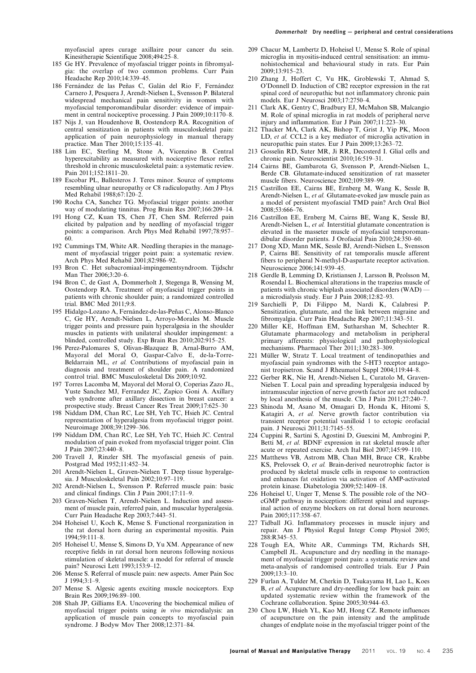myofascial apres curage axillaire pour cancer du sein. Kinesitherapie Scientifique 2008;494:25–8.

- 185 Ge HY. Prevalence of myofascial trigger points in fibromyalgia: the overlap of two common problems. Curr Pain Headache Rep 2010;14:339–45.
- 186 Fernández de las Peñas C, Galán del Rio F, Fernández Carnero J, Pesquera J, Arendt-Nielsen L, Svensson P. Bilateral widespread mechanical pain sensitivity in women with myofascial temporomandibular disorder: evidence of impairment in central nociceptive processing. J Pain 2009;10:1170-8.
- 187 Nijs J, van Houdenhove B, Oostendorp RA. Recognition of central sensitization in patients with musculoskeletal pain: application of pain neurophysiology in manual therapy practice. Man Ther 2010;15:135–41.
- 188 Lim EC, Sterling M, Stone A, Vicenzino B. Central hyperexcitability as measured with nociceptive flexor reflex threshold in chronic musculoskeletal pain: a systematic review. Pain 2011;152:1811–20.
- 189 Escobar PL, Ballesteros J. Teres minor. Source of symptoms resembling ulnar neuropathy or C8 radiculopathy. Am J Phys Med Rehabil 1988;67:120–2.
- 190 Rocha CA, Sanchez TG. Myofascial trigger points: another way of modulating tinnitus. Prog Brain Res 2007;166:209–14.
- 191 Hong CZ, Kuan TS, Chen JT, Chen SM. Referred pain elicited by palpation and by needling of myofascial trigger points: a comparison. Arch Phys Med Rehabil 1997;78:957– 60.
- 192 Cummings TM, White AR. Needling therapies in the management of myofascial trigger point pain: a systematic review. Arch Phys Med Rehabil 2001;82:986–92.
- 193 Bron C. Het subacromiaal-impingementsyndroom. Tijdschr Man Ther 2006;3:20–6.
- 194 Bron C, de Gast A, Dommerholt J, Stegenga B, Wensing M, Oostendorp RA. Treatment of myofascial trigger points in patients with chronic shoulder pain; a randomized controlled trial. BMC Med 2011;9:8.
- 195 Hidalgo-Lozano A, Fernández-de-las-Peñas C, Alonso-Blanco C, Ge HY, Arendt-Nielsen L, Arroyo-Morales M. Muscle trigger points and pressure pain hyperalgesia in the shoulder muscles in patients with unilateral shoulder impingement: a blinded, controlled study. Exp Brain Res 2010;202:915–25.
- 196 Perez-Palomares S, Olivan-Blazquez B, Arnal-Burro AM, Mayoral del Moral O, Gaspar-Calvo E, de-la-Torre-Beldarrain ML, et al. Contributions of myofascial pain in diagnosis and treatment of shoulder pain. A randomized control trial. BMC Musculoskeletal Dis 2009;10:92.
- 197 Torres Lacomba M, Mayoral del Moral O, Coperias Zazo JL, Yuste Sanchez MJ, Ferrandez JC, Zapico Goni A. Axillary web syndrome after axillary dissection in breast cancer: a prospective study. Breast Cancer Res Treat 2009;17:625–30
- 198 Niddam DM, Chan RC, Lee SH, Yeh TC, Hsieh JC. Central representation of hyperalgesia from myofascial trigger point. Neuroimage 2008;39:1299–306.
- 199 Niddam DM, Chan RC, Lee SH, Yeh TC, Hsieh JC. Central modulation of pain evoked from myofascial trigger point. Clin J Pain 2007;23:440–8.
- 200 Travell J, Rinzler SH. The myofascial genesis of pain. Postgrad Med 1952;11:452–34.
- 201 Arendt-Nielsen L, Graven-Nielsen T. Deep tissue hyperalgesia. J Musculoskeletal Pain 2002;10:97–119.
- 202 Arendt-Nielsen L, Svensson P. Referred muscle pain: basic and clinical findings. Clin J Pain 2001;17:11–9.
- 203 Graven-Nielsen T, Arendt-Nielsen L. Induction and assessment of muscle pain, referred pain, and muscular hyperalgesia. Curr Pain Headache Rep 2003;7:443–51.
- 204 Hoheisel U, Koch K, Mense S. Functional reorganization in the rat dorsal horn during an experimental myositis. Pain 1994;59:111–8.
- 205 Hoheisel U, Mense S, Simons D, Yu XM. Appearance of new receptive fields in rat dorsal horn neurons following noxious stimulation of skeletal muscle: a model for referral of muscle pain? Neurosci Lett 1993;153:9–12.
- 206 Mense S. Referral of muscle pain: new aspects. Amer Pain Soc J 1994;3:1–9.
- 207 Mense S. Algesic agents exciting muscle nociceptors. Exp Brain Res 2009;196:89–100.
- 208 Shah JP, Gilliams EA. Uncovering the biochemical milieu of myofascial trigger points using in vivo microdialysis: an application of muscle pain concepts to myofascial pain syndrome. J Bodyw Mov Ther 2008;12:371–84.
- 209 Chacur M, Lambertz D, Hoheisel U, Mense S. Role of spinal microglia in myositis-induced central sensitisation: an immunohistochemical and behavioural study in rats. Eur Pain 2009;13:915–23.
- 210 Zhang J, Hoffert C, Vu HK, Groblewski T, Ahmad S, O'Donnell D. Induction of CB2 receptor expression in the rat spinal cord of neuropathic but not inflammatory chronic pain models. Eur J Neurosci 2003;17:2750–4.
- 211 Clark AK, Gentry C, Bradbury EJ, McMahon SB, Malcangio M. Role of spinal microglia in rat models of peripheral nerve injury and inflammation. Eur J Pain 2007;11:223–30.
- 212 Thacker MA, Clark AK, Bishop T, Grist J, Yip PK, Moon LD, et al. CCL2 is a key mediator of microglia activation in neuropathic pain states. Eur J Pain 2009;13:263–72.
- 213 Gosselin RD, Suter MR, Ji RR, Decosterd I. Glial cells and chronic pain. Neuroscientist 2010;16:519–31.
- 214 Cairns BE, Gambarota G, Svensson P, Arendt-Nielsen L, Berde CB. Glutamate-induced sensitization of rat masseter muscle fibers. Neuroscience 2002;109:389–99.
- 215 Castrillon EE, Cairns BE, Ernberg M, Wang K, Sessle B, Arendt-Nielsen L, et al. Glutamate-evoked jaw muscle pain as a model of persistent myofascial TMD pain? Arch Oral Biol 2008;53:666–76.
- 216 Castrillon EE, Ernberg M, Cairns BE, Wang K, Sessle BJ, Arendt-Nielsen L, et al. Interstitial glutamate concentration is elevated in the masseter muscle of myofascial temporomandibular disorder patients. J Orofacial Pain 2010;24:350–60.
- 217 Dong XD, Mann MK, Sessle BJ, Arendt-Nielsen L, Svensson P, Cairns BE. Sensitivity of rat temporalis muscle afferent fibers to peripheral N-methyl-D-aspartate receptor activation. Neuroscience 2006;141:939–45.
- 218 Gerdle B, Lemming D, Kristiansen J, Larsson B, Peolsson M, Rosendal L. Biochemical alterations in the trapezius muscle of patients with chronic whiplash associated disorders (WAD) a microdialysis study. Eur J Pain 2008;12:82–93.
- 219 Sarchielli P, Di Filippo M, Nardi K, Calabresi P. Sensitization, glutamate, and the link between migraine and fibromyalgia. Curr Pain Headache Rep 2007;11:343–51.
- 220 Miller KE, Hoffman EM, Sutharshan M, Schechter R. Glutamate pharmacology and metabolism in peripheral primary afferents: physiological and pathophysiological mechanisms. Pharmacol Ther 2011;130:283–309.
- 221 Müller W, Stratz T. Local treatment of tendinopathies and myofascial pain syndromes with the 5-HT3 receptor antagonist tropisetron. Scand J Rheumatol Suppl 2004;119:44–8.
- 222 Gerber RK, Nie H, Arendt-Nielsen L, Curatolo M, Graven-Nielsen T. Local pain and spreading hyperalgesia induced by intramuscular injection of nerve growth factor are not reduced by local anesthesia of the muscle. Clin J Pain 2011;27:240–7.
- 223 Shinoda M, Asano M, Omagari D, Honda K, Hitomi S, Katagiri A, et al. Nerve growth factor contribution via transient receptor potential vanilloid 1 to ectopic orofacial pain. J Neurosci 2011;31:7145–55.
- 224 Cuppini R, Sartini S, Agostini D, Guescini M, Ambrogini P, Betti M, et al. BDNF expression in rat skeletal muscle after acute or repeated exercise. Arch Ital Biol 2007;145:99–110.
- 225 Matthews VB, Astrom MB, Chan MH, Bruce CR, Krabbe KS, Prelovsek O, et al. Brain-derived neurotrophic factor is produced by skeletal muscle cells in response to contraction and enhances fat oxidation via activation of AMP-activated protein kinase. Diabetologia 2009;52:1409–18.
- 226 Hoheisel U, Unger T, Mense S. The possible role of the NO– cGMP pathway in nociception: different spinal and supraspinal action of enzyme blockers on rat dorsal horn neurones. Pain 2005;117:358–67.
- 227 Tidball JG. Inflammatory processes in muscle injury and repair. Am J Physiol Regul Integr Comp Physiol 2005; 288:R345–53.
- 228 Tough EA, White AR, Cummings TM, Richards SH, Campbell JL. Acupuncture and dry needling in the management of myofascial trigger point pain: a systematic review and meta-analysis of randomised controlled trials. Eur J Pain 2009;13:3–10.
- 229 Furlan A, Tulder M, Cherkin D, Tsukayama H, Lao L, Koes B, et al. Acupuncture and dry-needling for low back pain: an updated systematic review within the framework of the Cochrane collaboration. Spine 2005;30:944–63.
- 230 Chou LW, Hsieh YL, Kao MJ, Hong CZ. Remote influences of acupuncture on the pain intensity and the amplitude changes of endplate noise in the myofascial trigger point of the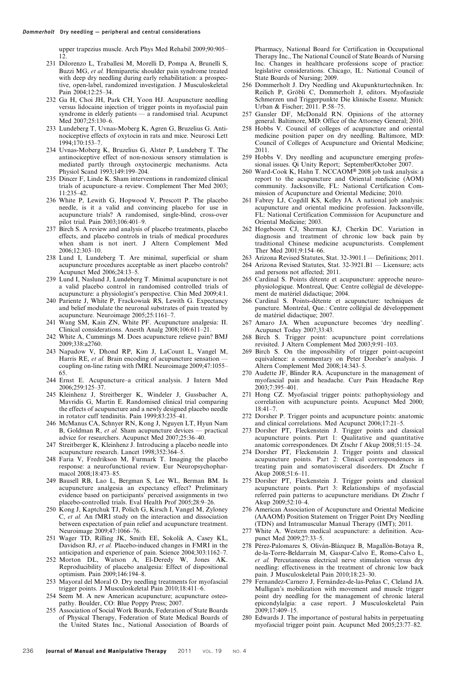upper trapezius muscle. Arch Phys Med Rehabil 2009;90:905– 12.

- 231 Dilorenzo L, Traballesi M, Morelli D, Pompa A, Brunelli S, Buzzi MG, et al. Hemiparetic shoulder pain syndrome treated with deep dry needling during early rehabilitation: a prospective, open-label, randomized investigation. J Musculoskeletal Pain 2004;12:25–34.
- 232 Ga H, Choi JH, Park CH, Yoon HJ. Acupuncture needling versus lidocaine injection of trigger points in myofascial pain syndrome in elderly patients — a randomised trial. Acupunct Med 2007;25:130–6.
- 233 Lundeberg T, Uvnas-Moberg K, Agren G, Bruzelius G. Antinociceptive effects of oxytocin in rats and mice. Neurosci Lett 1994;170:153–7.
- 234 Uvnas-Moberg K, Bruzelius G, Alster P, Lundeberg T. The antinociceptive effect of non-noxious sensory stimulation is mediated partly through oxytocinergic mechanisms. Acta Physiol Scand 1993;149:199–204.
- 235 Dincer F, Linde K. Sham interventions in randomized clinical trials of acupuncture–a review. Complement Ther Med 2003; 11:235–42.
- 236 White P, Lewith G, Hopwood V, Prescott P. The placebo needle, is it a valid and convincing placebo for use in acupuncture trials? A randomised, single-blind, cross-over pilot trial. Pain 2003;106:401–9.
- 237 Birch S. A review and analysis of placebo treatments, placebo effects, and placebo controls in trials of medical procedures when sham is not inert. J Altern Complement Med 2006;12:303–10.
- 238 Lund I, Lundeberg T. Are minimal, superficial or sham acupuncture procedures acceptable as inert placebo controls? Acupunct Med 2006;24:13–5.
- 239 Lund I, Naslund J, Lundeberg T. Minimal acupuncture is not a valid placebo control in randomised controlled trials of acupuncture: a physiologist's perspective. Chin Med 2009;4:1.
- 240 Pariente J, White P, Frackowiak RS, Lewith G. Expectancy and belief modulate the neuronal substrates of pain treated by acupuncture. Neuroimage 2005;25:1161–7.
- 241 Wang SM, Kain ZN, White PF. Acupuncture analgesia: II. Clinical considerations. Anesth Analg 2008;106:611–21.
- 242 White A, Cummings M. Does acupuncture relieve pain? BMJ 2009;338:a2760.
- 243 Napadow V, Dhond RP, Kim J, LaCount L, Vangel M, Harris RE, et al. Brain encoding of acupuncture sensation coupling on-line rating with fMRI. Neuroimage 2009;47:1055– 65.
- 244 Ernst E. Acupuncture–a critical analysis. J Intern Med 2006;259:125–37.
- 245 Kleinhenz J, Streitberger K, Windeler J, Gussbacher A, Mavridis G, Martin E. Randomised clinical trial comparing the effects of acupuncture and a newly designed placebo needle in rotator cuff tendinitis. Pain 1999;83:235–41.
- 246 McManus CA, Schnyer RN, Kong J, Nguyen LT, Hyun Nam B, Goldman R, et al. Sham acupuncture devices — practical advice for researchers. Acupunct Med 2007;25:36–40.
- 247 Streitberger K, Kleinhenz J. Introducing a placebo needle into acupuncture research. Lancet 1998;352:364–5.
- 248 Faria V, Fredrikson M, Furmark T. Imaging the placebo response: a neurofunctional review. Eur Neuropsychopharmacol 2008;18:473–85.
- 249 Bausell RB, Lao L, Bergman S, Lee WL, Berman BM. Is acupuncture analgesia an expectancy effect? Preliminary evidence based on participants' perceived assignments in two placebo-controlled trials. Eval Health Prof 2005;28:9–26.
- 250 Kong J, Kaptchuk TJ, Polich G, Kirsch I, Vangel M, Zyloney C, et al. An fMRI study on the interaction and dissociation between expectation of pain relief and acupuncture treatment. Neuroimage 2009;47:1066–76.
- 251 Wager TD, Rilling JK, Smith EE, Sokolik A, Casey KL, Davidson RJ, et al. Placebo-induced changes in FMRI in the anticipation and experience of pain. Science 2004;303:1162–7.
- 252 Morton DL, Watson A, El-Deredy W, Jones AK. Reproducibility of placebo analgesia: Effect of dispositional optimism. Pain 2009;146:194–8.
- 253 Mayoral del Moral O. Dry needling treatments for myofascial trigger points. J Musculoskeletal Pain 2010;18:411–6.
- 254 Seem M. A new American acupuncture; acupuncture osteopathy. Boulder, CO: Blue Poppy Press; 2007.
- 255 Association of Social Work Boards, Federation of State Boards of Physical Therapy, Federation of State Medical Boards of the United States Inc., National Association of Boards of

Pharmacy, National Board for Certification in Occupational Therapy Inc., The National Council of State Boards of Nursing Inc. Changes in healthcare professions scope of practice: legislative considerations. Chicago, IL: National Council of State Boards of Nursing; 2009.

- 256 Dommerholt J. Dry Needling und Akupunkturtechniken. In: Reilich P, Gröbli C, Dommerholt J, editors. Myofasziale Schmerzen und Triggerpunkte Die klinische Essenz. Munich: Urban & Fischer; 2011. P.58–75.
- 257 Gansler DF, McDonald RN. Opinions of the attorney general. Baltimore, MD: Office of the Attorney General; 2010.
- 258 Hobbs V. Council of colleges of acupuncture and oriental medicine position paper on dry needling. Baltimore, MD: Council of Colleges of Acupuncture and Oriental Medicine; 2011.
- 259 Hobbs V. Dry needling and acupuncture emerging professional issues. Qi Unity Report; September/October 2007.
- 260 Ward-Cook K, Hahn T. NCCAOM® 2008 job task analysis: a report to the acupuncture and Oriental medicine (AOM) community. Jacksonville, FL: National Certification Commission of Acupuncture and Oriental Medicine; 2010.
- 261 Fabrey LJ, Cogdill KS, Kelley JA. A national job analysis: acupuncture and oriental medicine profession. Jacksonville, FL: National Certification Commission for Acupuncture and Oriental Medicine; 2003.
- 262 Hogeboom CJ, Sherman KJ, Cherkin DC. Variation in diagnosis and treatment of chronic low back pain by traditional Chinese medicine acupuncturists. Complement Ther Med 2001;9:154–66.
- 263 Arizona Revised Statutes, Stat. 32-3901.1 Definitions; 2011. 264 Arizona Revised Statutes, Stat. 32-3921.B1 — Licensure; acts
- and persons not affected; 2011. 265 Cardinal S. Points détente et acupuncture: approche neurophysiologique. Montreal, Que: Centre collégial de développement de matériel didactique; 2004.
- 266 Cardinal S. Points-détente et acupuncture: techniques de puncture. Montréal, Que.: Centre collégial de développement de matériel didactique; 2007.
- 267 Amaro JA. When acupuncture becomes 'dry needling'. Acupunct Today 2007;33:43.
- 268 Birch S. Trigger point: acupuncture point correlations revisited. J Altern Complement Med 2003;9:91–103.
- 269 Birch S. On the impossibility of trigger point-acupoint equivalence: a commentary on Peter Dorsher's analysis. J Altern Complement Med 2008;14:343–5.
- 270 Audette JF, Blinder RA. Acupuncture in the management of myofascial pain and headache. Curr Pain Headache Rep 2003;7:395–401.
- 271 Hong CZ. Myofascial trigger points: pathophysiology and correlation with acupuncture points. Acupunct Med 2000;  $18.41 - 7$
- 272 Dorsher P. Trigger points and acupuncture points: anatomic and clinical correlations. Med Acupunct 2006;17:21–5.
- 273 Dorsher PT, Fleckenstein J. Trigger points and classical acupuncture points. Part 1: Qualitative and quantitative anatomic correspondences. Dt Ztschr f Akup 2008;51:15–24.
- 274 Dorsher PT, Fleckenstein J. Trigger points and classical acupuncture points. Part 2: Clinical correspondences in treating pain and somatovisceral disorders. Dt Ztschr f Akup 2008;51:6–11.
- 275 Dorsher PT, Fleckenstein J. Trigger points and classical acupuncture points. Part 3: Relationships of myofascial referred pain patterns to acupuncture meridians. Dt Ztschr f Akup 2009;52:10–4.
- 276 American Association of Acupuncture and Oriental Medicine (AAAOM) Position Statement on Trigger Point Dry Needling (TDN) and Intramuscular Manual Therapy (IMT); 2011.
- 277 White A. Western medical acupuncture: a definition. Acupunct Med 2009;27:33–5.
- 278 Pérez-Palomares S, Oliván-Blázquez B, Magallón-Botaya R, de-la-Torre-Beldarraín M, Gaspar-Calvo E, Romo-Calvo L, et al. Percutaneous electrical nerve stimulation versus dry needling: effectiveness in the treatment of chronic low back pain. J Musculoskeletal Pain 2010;18:23–30.
- 279 Fernandez-Carnero J, Fernández-de-las-Peñas C, Cleland JA. Mulligan's mobilization with movement and muscle trigger point dry needling for the management of chronic lateral epicondylalgia: a case report. J Musculoskeletal Pain 2009;17:409–15.
- 280 Edwards J. The importance of postural habits in perpetuating myofascial trigger point pain. Acupunct Med 2005;23:77–82.